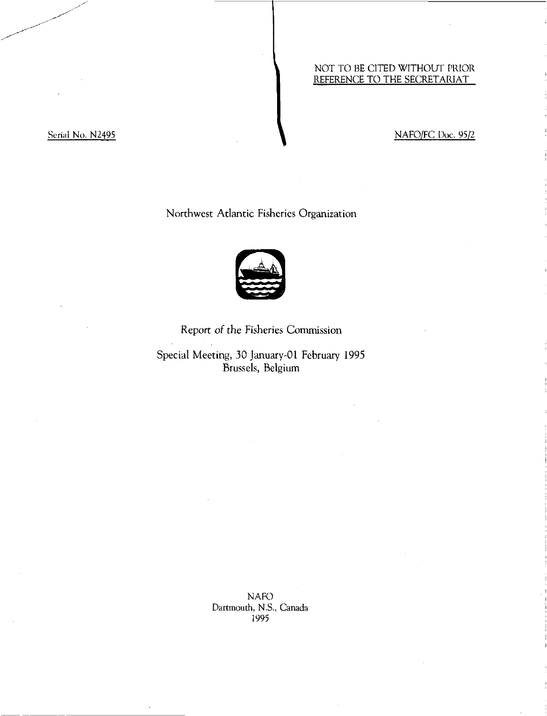# NOT TO BE CITED WITHOUT PRIOR REFERENCE TO THE SECRETARIAT

# Serial No. N2495 NAFO/FC Doc. 95/2

# Northwest Atlantic Fisheries Organization



# Report of the Fisheries Commission

Special Meeting, 30 January-01 February 1995 Brussels, Belgium

> NAFO Dartmouth, N.S., Canada 1995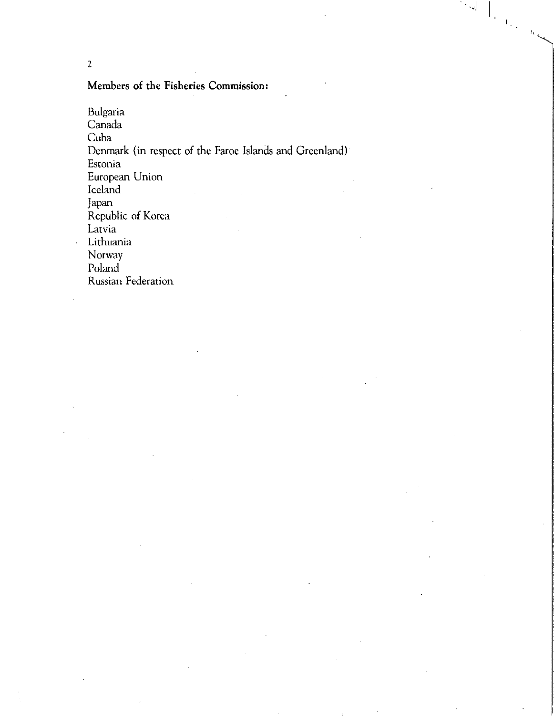2

# Members of the Fisheries Commission:

Bulgaria Canada Cuba Denmark (in respect of the Faroe Islands and Greenland) Estonia European Union Iceland Japan Republic of Korea Latvia Lithuania Norway Poland Russian Federation

 $\left\vert \left\langle \cdot ,\cdot \right\rangle \right\vert$ 

 $\bigcup_{\mathcal{A} \in \mathcal{A}_{\mathcal{A}_{\mathcal{A}}}} \mathcal{A}_{\mathcal{A}_{\mathcal{A}}(\mathcal{A})}$ 

 $\left\langle \mathbf{I}_{1}\right\rangle _{1}$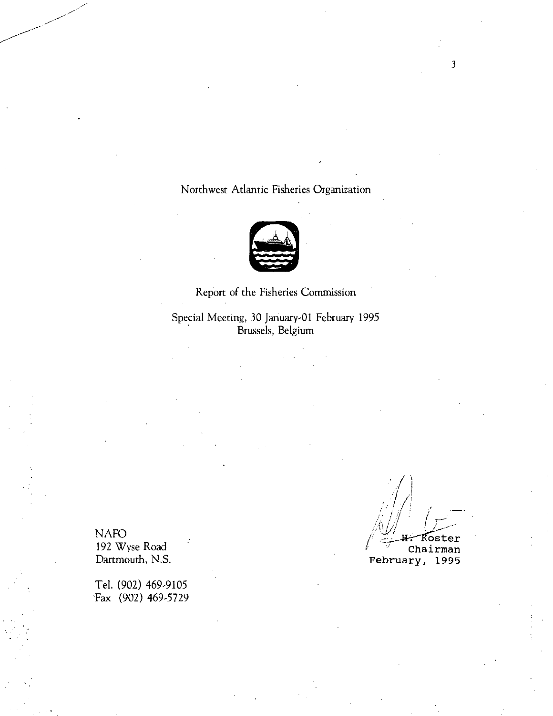# Northwest Atlantic Fisheries Organization



Report of the Fisheries Commission Special Meeting, 30 January-01 February 1995 Brussels, Belgium

192 Wyse Road (192 Wyse Road Chairman Chairman Chairman Chairman Chairman Chairman Chairman Chairman Chairman Chairman Chairman Chairman Chairman Chairman Chairman Chairman Chairman Chairman Chairman Chairman Chairman Chai

Tel. (902) 469-9105 Tax (902) 469-5729

NAFO / \_:\_41-r—Roster

February, 1995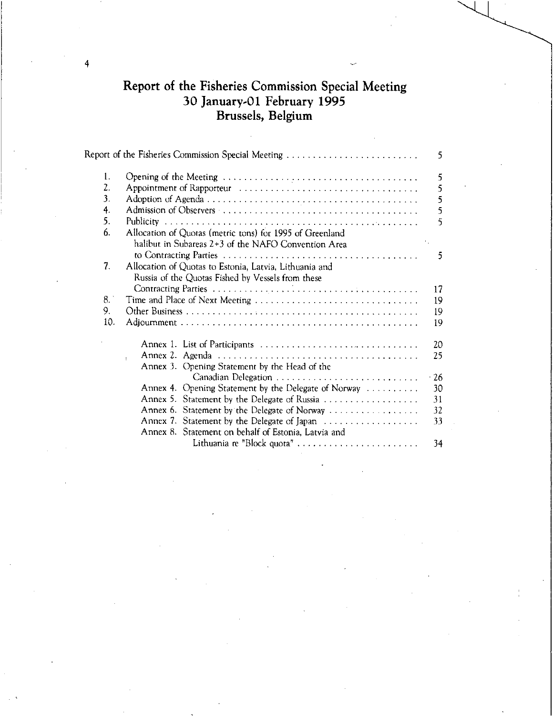# Report of the Fisheries Commission Special Meeting 30 January-01 February 1995 Brussels, Belgium

|                |                                                                                                                 | 5                        |
|----------------|-----------------------------------------------------------------------------------------------------------------|--------------------------|
| 1.<br>2.<br>3. |                                                                                                                 | 5<br>5<br>5              |
| 4.             |                                                                                                                 | 5                        |
| 5.             |                                                                                                                 | 5                        |
| 6.             | Allocation of Quotas (metric tons) for 1995 of Greenland<br>halibut in Subareas 2+3 of the NAFO Convention Area | $\gamma_{\rm{eff}}$<br>5 |
| 7.             | Allocation of Quotas to Estonia, Latvia, Lithuania and<br>Russia of the Quotas Fished by Vessels from these     | 17                       |
| $\mathbf{B}$ . | Time and Place of Next Meeting                                                                                  | 19                       |
| 9.             |                                                                                                                 | 19                       |
| 10.            |                                                                                                                 | 19                       |
|                | Annex 1. List of Participants<br>¥<br>Annex 3. Opening Statement by the Head of the                             | 20<br>25                 |
|                |                                                                                                                 | $\cdot$ 26               |
|                | Annex 4. Opening Statement by the Delegate of Norway                                                            | 30                       |
|                | Annex 5. Statement by the Delegate of Russia                                                                    | 31                       |
|                | Annex 6. Statement by the Delegate of Norway                                                                    | 32                       |
|                | Annex 7. Statement by the Delegate of Japan                                                                     | 33                       |
|                | Annex 8. Statement on behalf of Estonia, Latvia and                                                             |                          |
|                | Lithuania re "Block quota"                                                                                      | 34                       |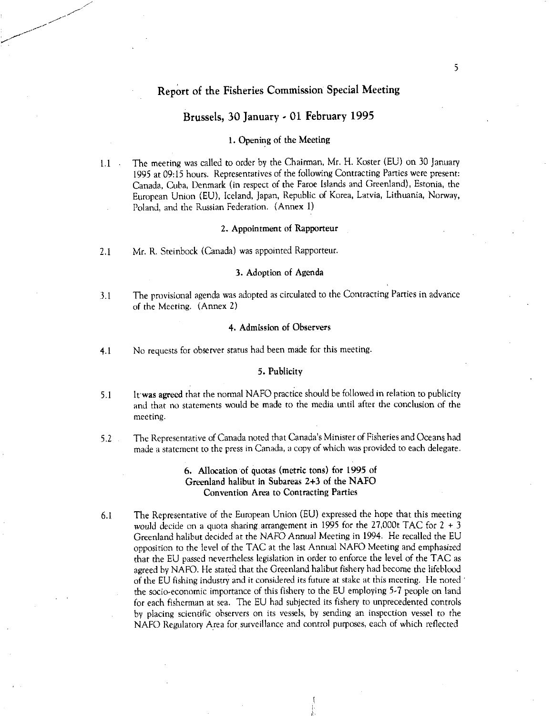# Report of the Fisheries Commission Special Meeting

# Brussels, 30 January - 01 February 1995

### 1. Opening of the Meeting

1.1 The meeting was called to order by the Chairman, Mr. H. Koster (EU) on 30 January 1995 at 09:15 hours. Representatives of the following Contracting Parties were present: Canada, Cuba, Denmark (in respect of the Faroe Islands and Greenland), Estonia, the European Union (EU), Iceland, Japan, Republic of Korea, Latvia, Lithuania, Norway, Poland, and the Russian Federation. (Annex 1)

### 2. Appointment of Rapporteur

2.1 Mr. R. Steinbock (Canada) was appointed Rapporteur.

### 3. Adoption of Agenda

3.1 The provisional agenda was adopted as circulated to the Contracting Parties in advance of the Meeting. (Annex 2)

### 4. Admission of Observers

4.1 No requests for observer status had been made for this meeting.

### 5. Publicity

- 5.1 Itwas agreed that the normal NAFO practice should be followed in relation to publicity and that no statements would be made to the media until after the conclusion of the meeting.
- 5.2 The Representative of Canada noted that Canada's Minister of Fisheries and Oceans had made a statement to the press in Canada, a copy of which was provided to each delegate.

# 6. Allocation of quotas (metric tons) for 1995 of Greenland halibut in Subareas 2+3 of the NAFO Convention Area to Contracting Parties

6.1 The Representative of the European Union (EU) expressed the hope that this meeting would decide on a quota sharing arrangement in 1995 for the 27,000t TAC for  $2 + 3$ Greenland halibut decided at the NAFO Annual Meeting in 1994. He recalled the EU opposition to the level of the TAC at the last Annual NAFO Meeting and emphasized that the EU passed nevertheless legislation in order to enforce the level of the TAC as agreed by NAFO. He stated that the Greenland halibut fishery had become the lifeblood of the EU fishing industry and it considered its future at stake at this meeting. He noted the socio-economic importance of this fishery to the EU employing 5.7 people on land for each fisherman at sea. The EU had subjected its fishery to unprecedented controls by placing scientific observers on its vessels, by sending an inspection vessel to the NAFO Regulatory Area for surveillance and control purposes, each of which reflected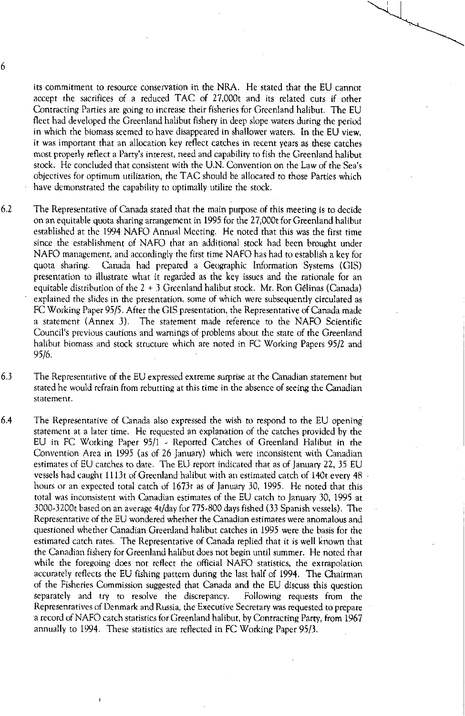its commitment to resource conservation in the NRA. He stated that the EU cannot accept the sacrifices of a reduced TAC of 27,000t and its related cuts if other Contracting Parties are going to increase their fisheries for Greenland halibut. The EU fleet had developed the Greenland halibut fishery in deep slope waters during the period in which the biomass seemed to have disappeared in shallower waters. In the EU view, it was important that an allocation key reflect catches in recent years as these catches most properly reflect a Parry's interest, need and capability to fish the Greenland halibut stock. He concluded that consistent with the U.N. Convention on the Law of the Sea's objectives for optimum utilization, the TAC should be allocated to those Parties which have demonstrated the capability to optimally utilize the stock.

- 6.2 The Representative of Canada stated that the main purpose of this meeting is to decide on an equitable quota sharing arrangement in 1995 for the 27,000t for Greenland halibut established at the 1994 NAFO Annual Meeting. He noted that this was the first time since the establishment of NAFO that an additional stock had been brought under NAFO management, and accordingly the first time NAFO has had to establish a key for quota sharing. Canada had prepared a Geographic Information Systems (GIS) presentation to illustrate what it regarded as the key issues and the rationale for an equitable distribution of the 2 + 3 Greenland halibut stock. Mr. Ron Gelinas (Canada) explained the slides in the presentation, some of which were subsequently circulated as FC Working Paper 95/5. After the GIS presentation, the Representative of Canada made a statement (Annex 3). The statement made reference to the NAFO Scientific Council's previous cautions and warnings of problems about the state of the Greenland halibut biomass and stock structure which are noted in FC Working Papers 95/2 and 95/6.
- 6.3 The Representative of the EU expressed extreme surprise at the Canadian statement but stated he would refrain from rebutting at this time in the absence of seeing the Canadian statement.
- 6.4 The Representative of Canada also expressed the wish to respond to the EU opening statement at a later time. He requested an explanation of the catches provided by the EU in FC Working Paper 95/1 - Reported Catches of Greenland Halibut in the Convention Area in 1995 (as of 26 January) which were inconsistent with Canadian estimates of EU catches to date. The EU report indicated that as of January 22, 35 EU vessels had caught 1 1 1 3t of Greenland halibut with an estimated catch of 140t every 48 hours or an expected total catch of 1673t as of January 30, 1995. He noted that this total was inconsistent with Canadian estimates of the EU catch to January 30, 1995 at 3000-3200t based on an average 4t/day for 775-800 days fished (33 Spanish vessels). The Representative of the EU wondered whether the Canadian estimates were anomalous and questioned whether Canadian Greenland halibut catches in 1995 were the basis for the estimated catch rates. The Representative of Canada replied that it is well known that the Canadian fishery for Greenland halibut does not begin until summer. He noted that while the foregoing does not reflect the official NAFO statistics, the extrapolation accurately reflects the EU fishing pattern during the last half of 1994. The Chairman of the Fisheries Commission suggested that Canada and the EU discuss this question separately and try to resolve the discrepancy. Following requests from the Representatives of Denmark and Russia, the Executive Secretary was requested to prepare a record of NAFO catch statistics for Greenland halibut, by Contracting Party, from 1967 annually to 1994. These statistics are reflected in FC Working Paper 95/3.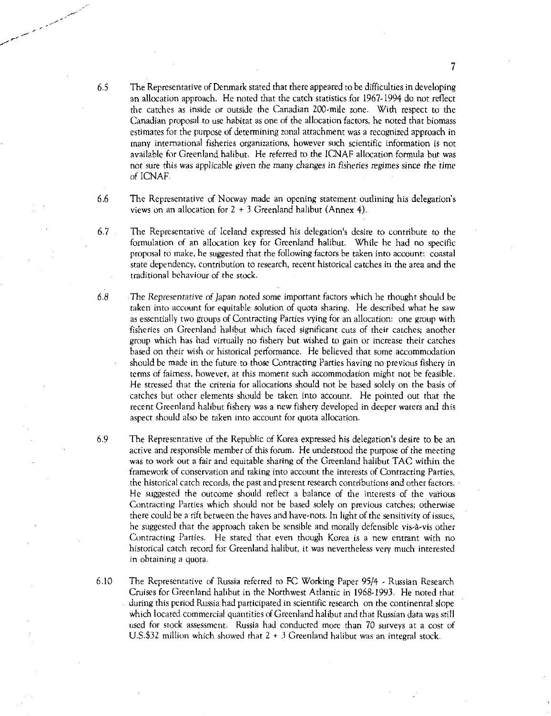- 6.5 The Representative of Denmark stated that there appeared to be difficulties in developing an allocation approach. He noted that the catch statistics for 1967.1994 do not reflect the catches as inside or outside the Canadian 200-mile zone. With respect to the Canadian proposal to use habitat as one of the allocation factors, he noted that biomass estimates for the purpose of determining zonal attachment was a recognized approach in many international fisheries organizations, however such scientific information is not available for Greenland halibut. He referred to the 1CNAF allocation formula but was not sure this was applicable *given the* many *changes in fisheries regimes* since the time of ICNAF.
- 6.6 The Representative of Norway made an opening statement outlining his delegation's views on an allocation for  $2 + 3$  Greenland halibut (Annex 4).
- 6.7 The Representative of Iceland expressed his delegation's desire to contribute to the formulation of an allocation key for Greenland halibut. While he had no specific proposal to make, he suggested that the following factors be taken into account: coastal state dependency, contribution to research, recent historical catches in the area and the traditional behaviour of the stock.
- 6.8 The *Representative of Japan* noted some important factors which he thought should be taken into account for equitable solution of quota sharing. He described what he saw as essentially two groups of Contracting Parties vying for an allocation: one group with fisheries on Greenland halibut which faced significant cuts of their catches; another group which has had virtually no fishery but wished to gain or increase their catches based on their wish or historical performance. He believed that some accommodation should be made in the future to those Contracting Parties having no previous fishery in terms of fairness, however, at this moment such accommodation might not be feasible. He stressed that the criteria for allocations should not be based solely on the basis of catches but other elements should be taken into account. He pointed out that the recent Greenland halibut fishery was a new fishery developed in deeper waters and this aspect should also be taken into account for quota allocation.
- 6.9 The Representative of the Republic of Korea expressed his delegation's desire to be an active and responsible member of this forum. He understood the purpose of the meeting was to work out a fair and equitable sharing of the Greenland halibut TAC within the framework of conservation and taking into account the interests of Contracting Parties, the historical catch records, the past and present research contributions and other factors. He suggested the outcome should reflect a balance of the interests of the various Contracting Parties which should not be based solely on previous catches; otherwise there could be a rift between the haves and have-nots. In light of the sensitivity of issues, he suggested that the approach taken be sensible and morally defensible vis-à-vis other Contracting Parties. He stated that even though Korea is a new entrant with no historical catch record for Greenland halibut, it was nevertheless very much interested in obtaining a quota.
- 6.10 The Representative of Russia referred to FC Working Paper 95/4 Russian Research Cruises for Greenland halibut in the Northwest Atlantic in 1968-1993. He noted that during this period Russia had participated in scientific research on the continental slope which located commercial quantities of Greenland halibut and that Russian data was still used for stock assessment. Russia had conducted more than 70 surveys at a cost of U.S.\$32 million which showed that  $2 + 3$  Greenland halibut was an integral stock.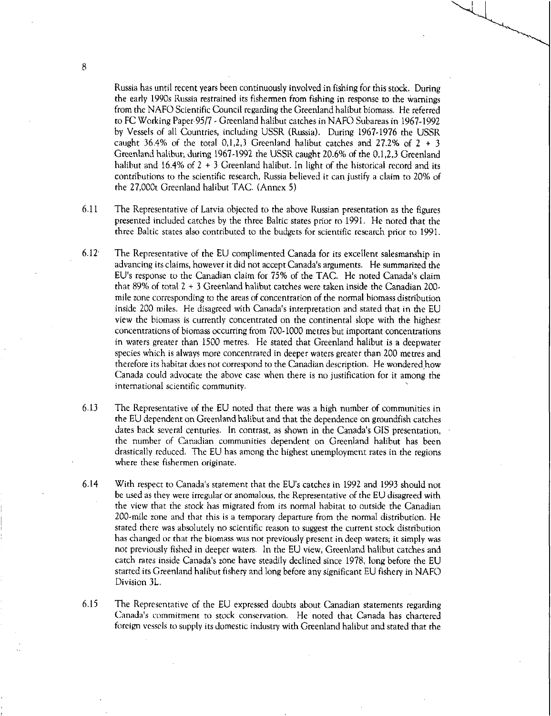Russia has until recent years been continuously involved in fishing for this stock. During the early 1990s Russia restrained its fishermen from fishing in response to the warnings from the NAFO Scientific Council regarding the Greenland halibut biomass. He referred to FC Working Paper 95/7 - Greenland halibut catches in NAFO Subareas in 1967-1992 by Vessels of all Countries, including USSR (Russia). During 1967.1976 the USSR caught 36.4% of the total 0,1,2,3 Greenland halibut catches and 27.2% of  $2 + 3$ Greenland halibut; during 1967.1992 the USSR caught 20.6% of the 0,1,2,3 Greenland halibut and 16.4% of  $2 + 3$  Greenland halibut. In light of the historical record and its contributions to the scientific research, Russia believed it can justify a claim to 20% of the 27,000t Greenland halibut TAC. (Annex 5)

- 6.11 The Representative of Latvia objected to the above Russian presentation as the figures presented included catches by the three Baltic states prior to 1991. He noted that the three Baltic states also contributed to the budgets for scientific research prior to 1991.
- 6.12' The Representative of the EU complimented Canada for its excellent salesmanship in advancing its claims, however it did not accept Canada's arguments. He summarized the EU's response to the Canadian claim for 75% of the TAC. He noted Canada's claim that 89% of total 2 + 3 Greenland halibut catches were taken inside the Canadian 200 mile zone corresponding to the areas of concentration of the normal biomass distribution inside 200 miles. He disagreed with Canada's interpretation and stated that in the EU view the biomass is currently concentrated on the continental slope with the highest concentrations of biomass occurring from 700-1000 metres but important concentrations in waters greater than 1500 metres. He stated that Greenland halibut is a deepwater species which is always more concentrated in deeper waters greater than 200 metres and therefore its habitat does not correspond to the Canadian description. He wondered how Canada could advocate the above case when there is no justification for it among the international scientific community.
- 6.13 The Representative of the EU noted that there was a high number of communities in the EU dependent on Greenland halibut and that the dependence on groundfish catches dates back several centuries. In contrast, as shown in the Canada's GIS presentation, the number of Canadian communities dependent on Greenland halibut has been drastically reduced. The EU has among the highest unemployment rates in the regions where these fishermen originate.
- 6.14 With respect to Canada's statement that the EU's catches in 1992 and 1993 should not be used as they were irregular or anomalous, the Representative of the EU disagreed with the view that the stock has migrated from its normal habitat to outside the Canadian 200-mile zone and that this is a temporary departure from the normal distribution. He stated there was absolutely no scientific reason to suggest the current stock distribution has changed or that the biomass was not previously present in deep waters; it simply was not previously fished in deeper waters. In the EU view, Greenland halibut catches and catch rates inside Canada's zone have steadily declined since 1978, long before the EU started its Greenland halibut fishery and long before any significant EU fishery in NAFO Division 3L.
- 6.15 The Representative of the EU expressed doubts about Canadian statements regarding Canada's commitment to stock conservation. He noted that Canada has chartered foreign vessels to supply its domestic industry with Greenland halibut and stated that the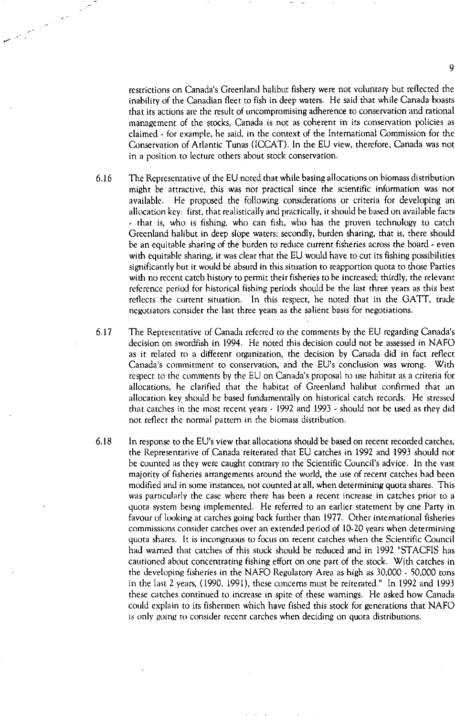restrictions on Canada's Greenland halibut fishery were not voluntary but reflected the inability of the Canadian fleet to fish in deep waters. He said that while Canada boasts that its actions are the result of uncompromising adherence to conservation and rational management of the stocks, Canada is not as coherent in its conservation policies as claimed - for example, he said, in the context of the International Commission for the Conservation of Atlantic Tunas (ICCAT). In the EU view, therefore, Canada was not in a position to lecture others about stock conservation.

- 6.16 The Representative of the EU noted that while basing allocations on biomass distribution might be attractive, this was not practical since the scientific information was not available. He proposed the following considerations or criteria for developing an allocation key: first, that realistically and practically, it should be based on available facts - that is, who is fishing, who can fish, who has the proven technology to catch Greenland halibut in deep slope waters; secondly, burden sharing, that is, there should be an equitable sharing of the burden to reduce current fisheries across the board - even with equitable sharing, it was clear that the EU would have to cut its fishing possibilities significantly but it would be absurd in this situation to reapportion quota to those Parties with no recent catch history to permit their fisheries to be increased; thirdly, the relevant reference period for historical fishing periods should be the last three years as this best reflects the current situation. In this respect, he noted that in the GATT, trade negotiators consider the last three years as the salient basis for negotiations.
- 6.17 The Representative of Canada referred to the comments by the EU regarding Canada's decision on swordfish in 1994. He noted this decision could not be assessed in NAFO as it related to a different organization, the decision by Canada did in fact reflect Canada's commitment to conservation, and the EU's conclusion was wrong. With respect to the comments by the EU on Canada's proposal to use habitat as a criteria for allocations, he clarified that the habitat of Greenland halibut confirmed that an allocation key should be based fundamentally on historical catch records. He stressed that catches in the most recent years - 1992 and 1993 - should not be used as they did not reflect the normal pattern in the biomass distribution.
- 6.18 In response to the EU's view that allocations should be based on recent recorded catches, the Representative of Canada reiterated that EU catches in 1992 and 1993 should not be counted as they were caught contrary to the Scientific Council's advice. In the vast majority of fisheries arrangements around the world, the use of recent catches had been modified and in some instances, not counted at all, when determining quota shares. This was particularly the case where there has been a recent increase in catches prior to a quota system being implemented. He referred to an earlier statement by one Party in favour of looking at catches going back further than 1977. Other international fisheries commissions consider catches over an extended period of 10-20 years when determining quota shares. It is incongruous to focus on recent catches when the Scientific Council had warned that catches of this stock should be reduced and in 1992 "STACFIS has cautioned about concentrating fishing effort on one part of the stock. With catches in the developing fisheries in the NAFO Regulatory Area as high as 30,000 - 50,000 tons in the last 2 years, (1990, 1991), these concerns must be reiterated." In 1992 and 1993 these catches continued to increase in spite of these warnings. He asked how Canada could explain to its fishermen which have fished this stock for generations that NAFO is only going to consider recent catches when deciding on quota distributions.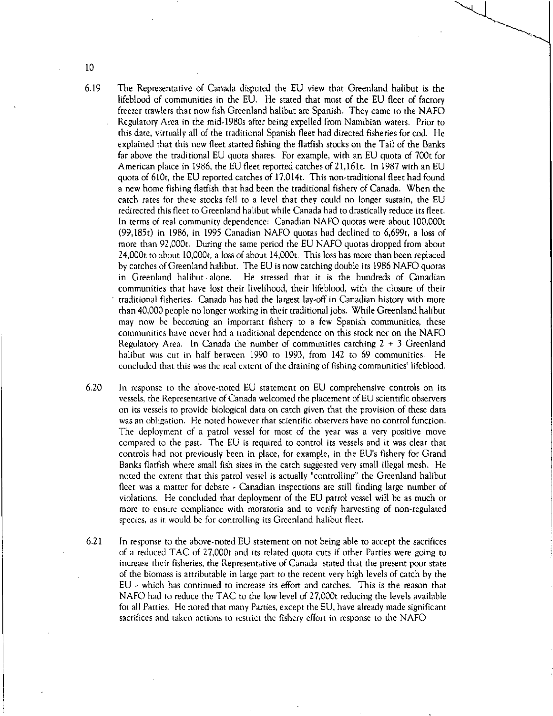- 6.19 The Representative of Canada disputed the EU view that Greenland halibut is the lifeblood of communities in the EU. He stated that most of the EU fleet of factory freezer trawlers that now fish Greenland halibut are Spanish. They came to the NAFO Regulatory Area in the mid-1980s after being expelled from Namibian waters. Prior to this date, virtually all of the traditional Spanish fleet had directed fisheries for cod. He explained that this new fleet started fishing the flatfish stocks on the Tail of the Banks far above the traditional EU quota shares. For example, with an EU quota of 700t for American plaice in 1986, the EU fleet reported catches of 21,161t. In 1987 with an EU quota of 610t, the EU reported catches of 17,014t. This non-traditional fleet had found a new home fishing flatfish that had been the traditional fishery of Canada. When the catch rates for these stocks fell to a level that they could no longer sustain, the EU redirected this fleet to Greenland halibut while Canada had to drastically reduce its fleet. In terms of real community dependence: Canadian NAFO quotas were about 100,000t (99,185t) in 1986, in 1995 Canadian NAFO quotas had declined to 6,699t, a loss of more than 92,000t. During the same period the EU NAFO quotas dropped from about 24,000t to about 10,000t, a loss of about 14,000t. This loss has more than been replaced by catches of Greenland halibut. The EU is now catching double its 1986 NAFO quotas in Greenland halibut alone. He stressed that it is the hundreds of Canadian communities that have lost their livelihood, their lifeblood, with the closure of their traditional fisheries. Canada has had the largest lay-off in Canadian history with more than 40,000 people no longer working in their traditional jobs. While Greenland halibut may now be becoming an important fishery to a few Spanish communities, these communities have never had a traditional dependence on this stock nor on the NAFO Regulatory Area. In Canada the number of communities catching 2 + 3 Greenland halibut was cut in half between 1990 to 1993, from 142 to 69 communities. He concluded that this was the real extent of the draining of fishing communities' lifeblood.
- 6.20 In response to the above-noted EU statement on EU comprehensive controls on its vessels, the Representative of Canada welcomed the placement of EU scientific observers on its vessels to provide biological data on catch given that the provision of these data was an obligation. He noted however that scientific observers have no control function. The deployment of a patrol vessel for most of the year was a very positive move compared to the past. The EU is required to control its vessels and it was clear that controls had not previously been in place, for example, in the EU's fishery for Grand Banks flatfish where small fish sizes in the catch suggested very small illegal mesh. He noted the extent that this patrol vessel is actually "controlling" the Greenland halibut fleet was a matter for debate - Canadian inspections are still finding large number of violations. He concluded that deployment of the EU patrol vessel will be as much or more to ensure compliance with moratoria and to verify harvesting of non-regulated species, as it would be for controlling its Greenland halibut fleet.
- 6.21 In response to the above-noted EU statement on not being able to accept the sacrifices of a reduced TAC of 27,000t and its related quota cuts if other Parties were going to increase their fisheries, the Representative of Canada stated that the present poor state of the biomass is attributable in large part to the recent very high levels of catch by the EU - which has continued to increase its effort and catches. This is the reason that NAFO had to reduce the TAC to the low level of 27,000t reducing the levels available for all Parties. He noted that many Parties, except the EU, have already made significant sacrifices and taken actions to restrict the fishery effort in response to the NAFO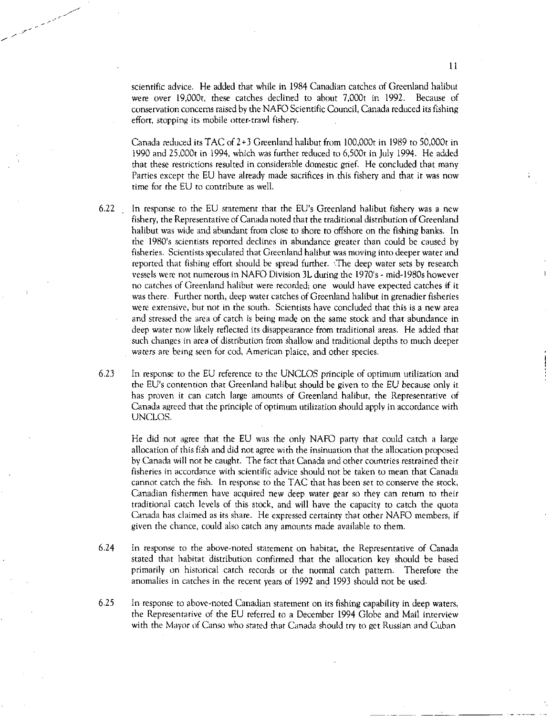scientific advice. He added that while in 1984 Canadian catches of Greenland halibut were over 19,000t, these catches declined to about 7,000t in 1992. Because of conservation concerns raised by the NAFO Scientific Council, Canada reduced its fishing effort, stopping its mobile otter-trawl fishery.

Canada reduced its TAC of 2+3 Greenland halibut from 100,000t in 1989 to 50,000t in 1990 and 25,000t in 1994, which was further reduced to 6,500t in July 1994. He added that these restrictions resulted in considerable domestic grief. He concluded that many Parties except the EU have already made sacrifices in this fishery and that it was now time for the EU to contribute as well.

- 6.22 In response to the EU statement that the EU's Greenland halibut fishery was a new fishery, the Representative of Canada noted that the traditional distribution of Greenland halibut was wide and abundant from close to shore to offshore on the fishing banks. In the 1980's scientists reported declines in abundance greater than could be caused by fisheries. Scientists speculated that Greenland halibut was moving into deeper water and reported that fishing effort should be spread further. The deep water sets by research vessels were not numerous in NAFO Division 3L during the 1970's - mid-I980s however no catches of Greenland halibut were recorded; one would have expected catches if it was there. Further north, deep water catches of Greenland halibut in grenadier fisheries were extensive, but not in the south. Scientists have concluded that this is a new area and stressed the area of catch is being made on the same stock and that abundance in deep water now likely reflected its disappearance from traditional areas. He added that such changes in area of distribution from shallow and traditional depths to much deeper waters are being seen for cod, American plaice, and other species.
- 6.23 In response to the EU reference to the UNCLOS principle of optimum utilization and the EU's contention that Greenland halibut should be given to the EU because only it has proven it can catch large amounts of Greenland halibut, the Representative of Canada agreed that the principle of optimum utilization should apply in accordance with UNCLOS.

He did not agree that the EU was the only NAFO party that could catch a large allocation of this fish and did not agree with the insinuation that the allocation proposed by Canada will not be caught. The fact that Canada and other countries restrained their fisheries in accordance with scientific advice should not be taken to mean that Canada cannot catch the fish. In response to the TAC that has been set to conserve the stock, Canadian fishermen have acquired new deep water gear so they can return to their traditional catch levels of this stock, and will have the capacity to catch the quota Canada has claimed as its share. He expressed certainty that other NAFO members, if given the chance, could also catch any amounts made available to them.

- 6.24 In response to the above-noted statement on habitat, the Representative of Canada stated that habitat distribution confirmed that the allocation key should be based primarily on historical catch records or the normal catch pattern. Therefore the anomalies in catches in the recent years of 1992 and 1993 should not be used.
- 6.25 In response to above-noted Canadian statement on its fishing capability in deep waters, the Representative of the EU referred to a December 1994 Globe and Mail interview with the Mayor of Canso who stated that Canada should try to get Russian and Cuban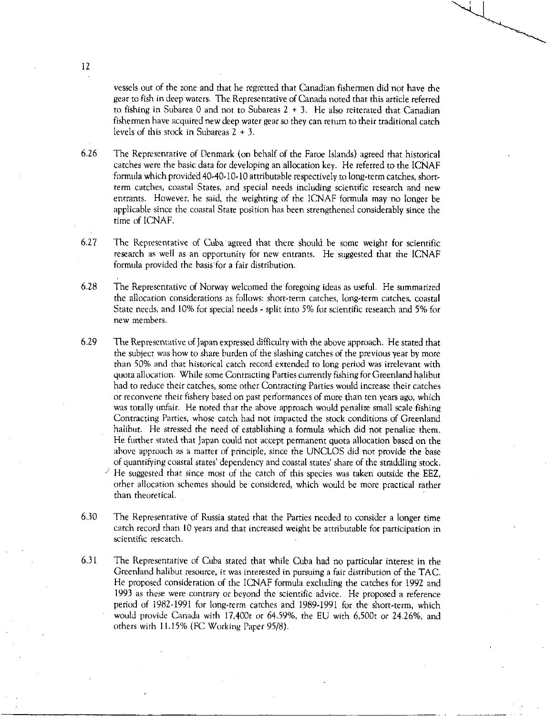vessels out of the zone and that he regretted that Canadian fishermen did not have the gear to fish in deep waters. The Representative of Canada noted that this article referred to fishing in Subarea 0 and not to Subareas  $2 + 3$ . He also reiterated that Canadian fishermen have acquired new deep water gear so they can return to their traditional catch levels of this stock in Subareas 2 + 3.

6.26 The Representative of Denmark (on behalf of the Faroe Islands) agreed that historical catches were the basic data for developing an allocation key. He referred to the ICNAF formula which provided 40-40-10-10 attributable respectively to long-term catches, shortterm catches, coastal States, and special needs including scientific research and new entrants. However, he said, the weighting of the ICNAF formula may no longer be applicable since the coastal State position has been strengthened considerably since the time of ICNAF.

6.27 The Representative of Cuba agreed that there should be some weight for scientific research as well as an opportunity for new entrants. He suggested that the ICNAF formula provided the basis for a fair distribution.

6.28 The Representative of Norway welcomed the foregoing ideas as useful. He summarized the allocation considerations as follows: short-term catches, long-term catches, coastal State needs, and 10% for special needs - split into 5% for scientific research and 5% for new members.

6.29 The Representative of Japan expressed difficulty with the above approach. He stated that the subject was how to share burden of the slashing catches of the previous year by more than 50% and that historical catch record extended to long period was irrelevant with quota allocation. While some Contracting Parties currently fishing for Greenland halibut had to reduce their catches, some other Contracting Parties would increase their catches or reconvene their fishery based on past performances of more than ten years ago, which was totally unfair. He noted that the above approach would penalize small scale fishing Contracting Parties, whose catch had not impacted the stock conditions of Greenland halibut. He stressed the need of establishing a formula which did not penalize them. He further stated that Japan could not accept permanent quota allocation based on the above approach as a matter of principle, since the UNCLOS did not provide the base of quantifying coastal states' dependency and coastal states share of the straddling stock. ) He suggested that since most of the catch of this species was taken outside the EEZ, other allocation schemes should be considered, which would be more practical rather than theoretical.

6.30 The Representative of Russia stated that the Parties needed to consider a longer time catch record than 10 years and that increased weight be attributable for participation in scientific research.

6.31 The Representative of Cuba stated that while Cuba had no particular interest in the Greenland halibut resource, it was interested in pursuing a fair distribution of the TAC. He proposed consideration of the ICNAF formula excluding the catches for 1992 and 1993 as these were contrary or beyond the scientific advice. He proposed a reference period of 1982-1991 for long-term catches and 1989-1991 for the short-term, which would provide Canada with 17,400t or 64.59%, the EU with 6,500t or 24.26%, and others with 11.15% (FC Working Paper 95/8).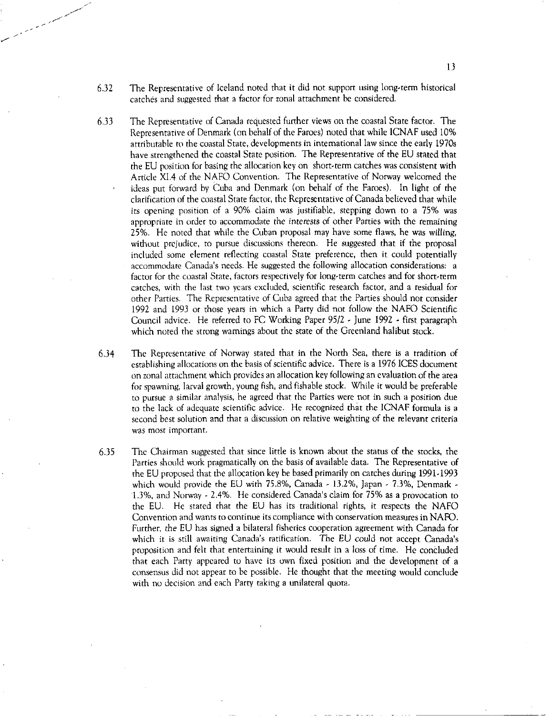- 6.32 The Representative of Iceland noted that it did not support using long-term historical catches and suggested that a factor for zonal attachment be considered.
- 6.33 The Representative of Canada requested further views on the coastal State factor. The Representative of Denmark (on behalf of the Faroes) noted that while ICNAF used 10% attributable to the coastal State, developments in international law since the early 1970s have strengthened the coastal State position. The Representative of the EU stated that the EU position for basing the allocation key on short-term catches was consistent with Article X1.4 of the NAFO Convention. The Representative of Norway welcomed the ideas put forward by Cuba and Denmark (on behalf of the Faroes). In light of the clarification of the coastal State factor, the Representative of Canada believed that while its opening position of a 90% claim was justifiable, stepping down to a 75% was appropriate in order to accommodate the interests of other Parties with the remaining 25%. He noted that while the Cuban proposal may have some flaws, he was willing, without prejudice, to pursue discussions thereon. He suggested that if the proposal included some element reflecting coastal State preference, then it could potentially accommodate Canada's needs. He suggested the following allocation considerations: a factor for the coastal State, factors respectively for long-term catches and for short-term catches, with the last two years excluded, scientific research factor, and a residual for other Parties. The Representative of Cuba agreed that the Parties should not consider 1992 and 1993 or those years in which a Party did not follow the NAFO Scientific Council advice. He referred to FC Working Paper 95/2 - June 1992 - first paragraph which noted the strong warnings about the state of the Greenland halibut stock.
- 6.34 The Representative of Norway stated that in the North Sea, there is a tradition of establishing allocations on the basis of scientific advice. There is a 1976 ICES document on zonal attachment which provides an allocation key following an evaluation of the area for spawning, larval growth, young fish, and fishable stock. While it would be preferable to pursue a similar analysis, he agreed that the Parties were not in such a position due to the lack of adequate scientific advice. He recognized that the 1CNAF formula is a second best solution and that a discussion on relative weighting of the relevant criteria was most important.
- 6.35 The Chairman suggested that since little is known about the status of the stocks, the Parties should work pragmatically on the basis of available data. The Representative of the EU proposed that the allocation key be based primarily on catches during 1991.1993 which would provide the EU with 75.8%, Canada - 13.2%, Japan - 7.3%, Denmark -1.3%, and Norway - 2.4%. He considered Canada's claim for 75% as a provocation to the EU. He stated that the EU has its traditional rights, it respects the NAFO Convention and wants to continue its compliance with conservation measures in NAFO. Further, the EU has signed a bilateral fisheries cooperation agreement with Canada for which it is still awaiting Canada's ratification. The EU could not accept Canada's proposition and felt that entertaining it would result in a loss of time. He concluded that each Party appeared to have its own fixed position and the development of a consensus did not appear to be possible. He thought that the meeting would conclude with no decision and each Party taking a unilateral quota.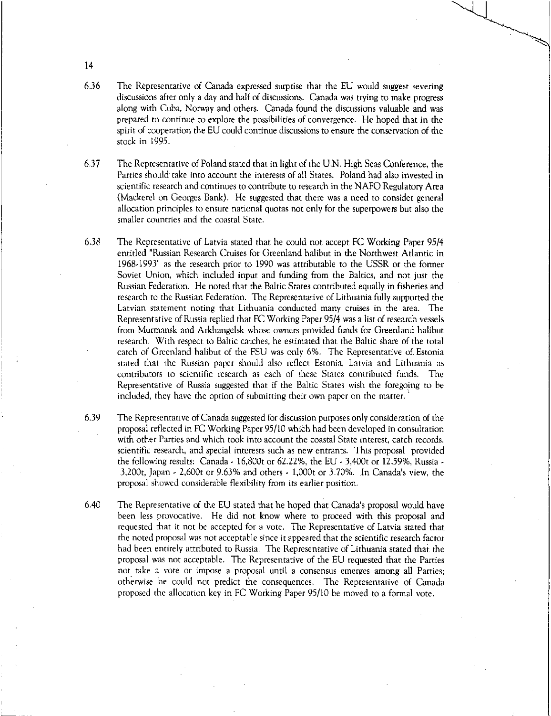6.36 The Representative of Canada expressed surprise that the EU would suggest severing discussions after only a day and half of discussions. Canada was trying to make progress along with Cuba, Norway and others. Canada found the discussions valuable and was prepared to continue to explore the possibilities of convergence. He hoped that in the spirit of cooperation the EU could continue discussions to ensure the conservation of the stock in 1995.

6.37 The Representative of Poland stated that in light of the U.N. High Seas Conference, the Parties should take into account the interests of all States. Poland had also invested in scientific research and continues to contribute to research in the NAFO Regulatory Area (Mackerel on Georges Bank). He suggested that there was a need to consider general allocation principles to ensure national quotas not only for the superpowers but also the smaller countries and the coastal State.

6.38 The Representative of Latvia stated that he could not accept FC Working Paper 95/4 entitled "Russian Research Cruises for Greenland halibut in the Northwest Atlantic in 1968.1993" as the research prior to 1990 was attributable to the USSR or the former Soviet Union, which included input and funding from the Baltics, and not just the Russian Federation. He noted that the Baltic States contributed equally in fisheries and research to the Russian Federation. The Representative of Lithuania fully supported the Latvian statement noting that Lithuania conducted many cruises in the area. The Representative of Russia replied that FC Working Paper 95/4 was a list of research vessels from Murmansk and Arkhangelsk whose owners provided funds for Greenland halibut research. With respect to Baltic catches, he estimated that the Baltic share of the total catch of Greenland halibut of the FSU was only 6%. The Representative of Estonia stated that the Russian paper should also reflect Estonia, Latvia and Lithuania as contributors to scientific research as each of these States contributed funds. The Representative of Russia suggested that if the Baltic States wish the foregoing to be included, they have the option of submitting their own paper on the matter.

- 6.39 The Representative of Canada suggested for discussion purposes only consideration of the proposal reflected in FC Working Paper 95/10 which had been developed in consultation with other Parties and which took into account the coastal State interest, catch records, scientific research, and special interests such as new entrants. This proposal provided the following results: Canada - 16,800t or 62.22%, the EU - 3,400t or 12.59%, Russia - 3,200t, Japan 2,600t or 9.63% and others - 1,000t or 3.70%. In Canada's view, the proposal showed considerable flexibility from its earlier position.
- 6.40 The Representative of the EU stated that he hoped that Canada's proposal would have been less provocative. He did not know where to proceed with this proposal and requested that it not be accepted for a vote. The Representative of Latvia stated that the noted proposal was not acceptable since it appeared that the scientific research factor had been entirely attributed to Russia. The Representative of Lithuania stated that the proposal was not acceptable. The Representative of the EU requested that the Parties not. take a vote or impose a proposal until a consensus emerges among all Parties; otherwise he could not predict the consequences. The Representative of Canada proposed the allocation key in FC Working Paper 95/10 be moved to a formal vote.

14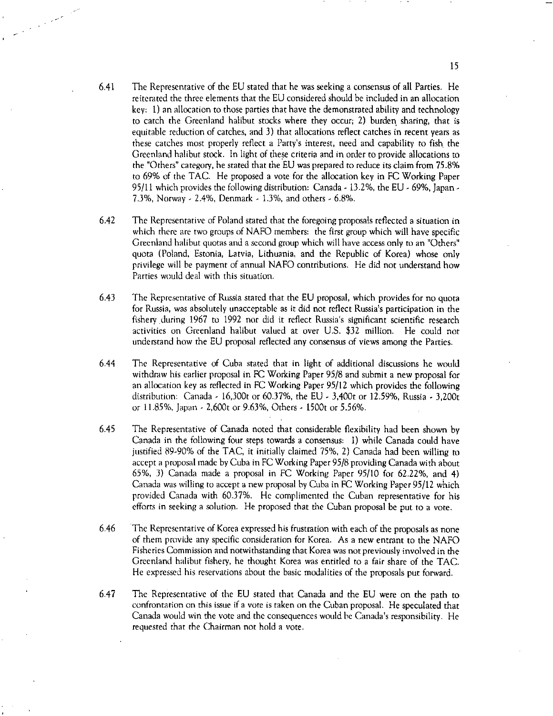6.41 The Representative of the EU stated that he was seeking a consensus of all Parties. He reiterated the three elements that the EU considered should be included in an allocation key: 1) an allocation to those parties that have the demonstrated ability and technology to catch the Greenland halibut stocks where they occur; 2) burden, sharing, that is equitable reduction of catches, and 3) that allocations reflect catches in recent years as these catches most properly reflect a Party's interest, need and capability to fish. the Greenland halibut stock. In light of these criteria and in order to provide allocations to the "Others' category, he stated that the EU was prepared to reduce its claim from 75.8% to 69% of the TAC. He proposed a vote for the allocation key in FC Working Paper 95/11 which provides the following distribution: Canada - 13.2%, the EU - 69%, Japan -7.3%, Norway - 2.4%, Denmark - 1.3%, and others - 6.8%.

a di Kabupatén Bandung Kabupatén Kabupatén Kabupatén Kabupatén Kabupatén Kabupatén Kabupatén Kabupatén Kabupatén Ka

- 6.42 The Representative of Poland stated that the foregoing proposals reflected a situation in which there are two groups of NAFO members: the first group which will have specific Greenland halibut quotas and a second group which will have access only to an "Others" quota (Poland, Estonia, Latvia, Lithuania, and the Republic of Korea) whose only privilege will be payment of annual NAFO contributions. He did not understand how Parties would deal with this situation.
- 6.43 The Representative of Russia stated that the EU proposal, which provides for no quota for Russia, was absolutely unacceptable as it did not reflect Russia's participation in the fishery .during 1967 to 1992 nor did it reflect Russia's significant scientific research activities on Greenland halibut valued at over U.S. \$32 million. He could not understand how the EU proposal reflected any consensus of views among the Parties.
- 6.44 The Representative of Cuba stated that in light of additional discussions he would withdraw his earlier proposal in FC Working Paper 95/8 and submit a new proposal for an allocation key as reflected in FC Working Paper 95/12 which provides the following distribution: Canada 16,300t or 60.37%, the EU - 3,400t or 12.59%, Russia - 3,200t or 11.85%, Japan - 2,600t or 9.63%, Others - 1500t or 5.56%.
- 6.45 The Representative of Canada noted that considerable flexibility had been shown by Canada in the following four steps towards a consensus: 1) while Canada could have justified 89-90% of the TAC, it initially claimed 75%, 2) Canada had been willing to accept a proposal made by Cuba in FC Working Paper 95/8 providing Canada with about 65%, 3) Canada made a proposal in FC Working Paper 95/10 for 62.22%, and 4) Canada was willing to accept a new proposal by Cuba in FC Working Paper 95/12 which provided Canada with 60.37%. He complimented the Cuban representative for his efforts in seeking a solution. He proposed that the Cuban proposal be put to a vote.
- 6.46 The Representative of Korea expressed his frustration with each of the proposals as none of them provide any specific consideration for Korea. As a new entrant to the NAFO Fisheries Commission and notwithstanding that Korea was not previously involved in the Greenland halibut fishery, he thought Korea was entitled to a fair share of the TAC. He expressed his reservations about the basic modalities of the proposals put forward.
- 6.47 The Representative of the EU stated that Canada and the EU were on the path to confrontation on this issue if a vote is taken on the Cuban proposal. He speculated that Canada would win the vote and the consequences would be Canada's responsibility. He requested that the Chairman not hold a vote.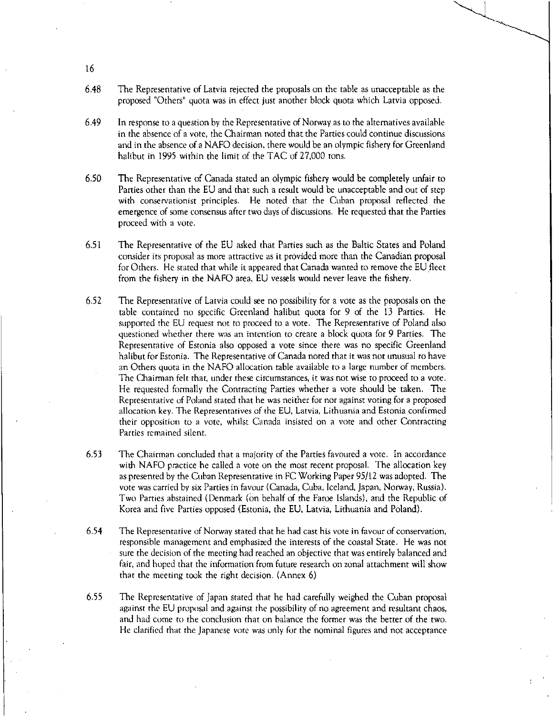- 6.48 The Representative of Latvia rejected the proposals on the table as unacceptable as the proposed "Others" quota was in effect just another block quota which Latvia opposed.
- 6.49 In response to a question by the Representative of Norway as to the alternatives available in the absence of a vote, the Chairman noted that the Parties could continue discussions and in the absence of a NAFO decision, there would be an olympic fishery for Greenland halibut in 1995 within the limit of the TAC of 27,000 tons.
- 6.50 The Representative of Canada stated an olympic fishery would be completely unfair to Parties other than the EU and that such a result would be unacceptable and out of step with conservationist principles. He noted that the Cuban proposal reflected the emergence of some consensus after two days of discussions. He requested that the Parties proceed with a vote.
- 6.51 The Representative of the EU asked that Parties such as the Baltic States and Poland consider its proposal as more attractive as it provided more than the Canadian proposal for Others. He stated that while it appeared that Canada wanted to remove the EU fleet from the fishery in the NAFO area, EU vessels would never leave the fishery.
- 6.52 The Representative of Latvia could see no possibility for a vote as the proposals on the table contained no specific Greenland halibut quota for 9 of the 13 Parties. He supported the EU request not to proceed to a vote. The Representative of Poland also questioned whether there was an intention to create a block quota for 9 Parties. The Representative of Estonia also opposed a vote since there was no specific Greenland halibut for Estonia. The Representative of Canada noted that it was not unusual to have an Others quota in the NAFO allocation table available to a large number of members. The Chairman felt that, under these circumstances, it was not wise to proceed to a vote. He requested formally the Contracting Parties whether a vote should be taken. The Representative of Poland stated that he was neither for nor against voting for a proposed allocation key. The Representatives of the EU, Latvia, Lithuania and Estonia confirmed their opposition to a vote, whilst Canada insisted on a vote and other Contracting Parties remained silent.
- 6.53 The Chairman concluded that a majority of the Parties favoured a vote. In accordance with NAFO practice he called a vote on the most recent proposal. The allocation key as presented by the Cuban Representative in FC Working Paper 95/12 was adopted. The vote was carried by six Parties in favour (Canada, Cuba, Iceland, Japan, Norway, Russia). Two Parties abstained (Denmark (on behalf of the Faroe Islands), and the Republic of Korea and five Parties opposed (Estonia, the EU, Latvia, Lithuania and Poland).
- 6.54 The Representative of Norway stated that he had cast his vote in favour of conservation, responsible management and emphasized the interests of the coastal State. He was not sure the decision of the meeting had reached an objective that was entirely balanced and fair, and hoped that the information from future research on zonal attachment will show that the meeting took the right decision. (Annex 6)
- 6,55 The Representative of Japan stated that he had carefully weighed the Cuban proposal against the EU proposal and against the possibility of no agreement and resultant chaos, and had come to the conclusion that on balance the former was the better of the two. He clarified that the Japanese vote was only for the nominal figures and not acceptance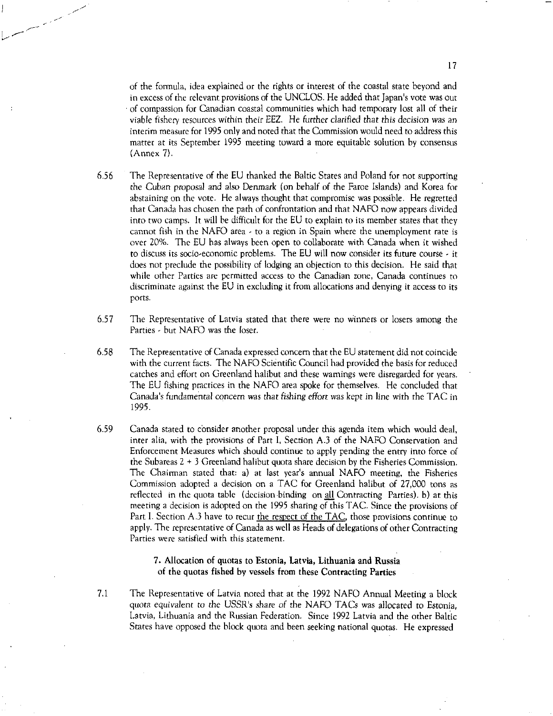of the formula, idea explained or the rights or interest of the coastal state beyond and in excess of the relevant provisions of the UNCLOS. He added that Japan's vote was out of compassion for Canadian coastal communities which had temporary lost all of their viable fishery resources within their EEZ. He further *clarified* that this decision was an interim measure for 1995 only and noted that the Commission would need to address this matter at its September 1995 meeting toward a more equitable solution by consensus (Annex 7).

- 6.56 The Representative of the EU thanked the Baltic States and Poland for not supporting the *Cuban proposal* and also Denmark (on behalf of the Faroe Islands) and Korea for abstaining on the vote. He always thought that compromise was possible. He regretted that Canada has chosen the path of confrontation and that NAFO now appears divided into two camps. It will be difficult for the EU to explain to its member states that they cannot fish in the NAFO area  $\cdot$  to a region in Spain where the unemployment rate is over 20%. The EU has always been open to collaborate with Canada when it wished to discuss its socio-economic problems. The EU will now consider its future course - it does not preclude the possibility of lodging an objection to this decision. He said that while other Parties are permitted access to the Canadian zone, Canada continues to discriminate against the EU in excluding it from allocations and denying it access to its ports.
- 6.57 The Representative of Latvia stated that there were no winners or losers among the Parties - but NAFO was the loser.
- 6.58 The Representative of Canada expressed concern that the EU statement did not coincide with the current facts. The NAFO Scientific Council had provided the basis for reduced catches and effort on Greenland halibut and these wamings were disregarded for years. The EU fishing practices in the NAFO area spoke for themselves. He concluded that Canada's fundamental concern was that *fishing effort* was kept in line with the TAC in 1995.
- 6.59 Canada stated to consider another proposal under this agenda item which would deal, inter alia, with the provisions of Part I, Section A.3 of the NAFO Conservation and Enforcement Measures which should continue to apply pending the entry into force of the Subareas 2 + 3 Greenland halibut quota share decision by the Fisheries Commission. The Chairman stated that: a) at last year's annual NAFO meeting, the Fisheries Commission adopted a decision on a TAC for Greenland halibut of 27,000 tons as reflected in the quota table (decision binding on all Contracting Parties). b) at this meeting a decision is adopted on the 1995 sharing of this TAC. Since the provisions of Part I. Section A.3 have to recur the respect of the TAC, those provisions continue to apply. The representative of Canada as well as Heads of delegations of other Contracting Parties were satisfied with this statement.

# 7. Allocation of quotas to Estonia, Latvia, Lithuania and Russia of the quotas fished by vessels from these Contracting Parties

7.1 The Representative of Latvia noted that at the 1992 NAFO Annual Meeting a block quota *equivalent* to *the* USSR's *share* of the NAFO TACs was allocated to Estonia, Latvia, Lithuania and the Russian Federation. Since 1992 Latvia and the other Baltic States have opposed the block quota and been seeking national quotas. He expressed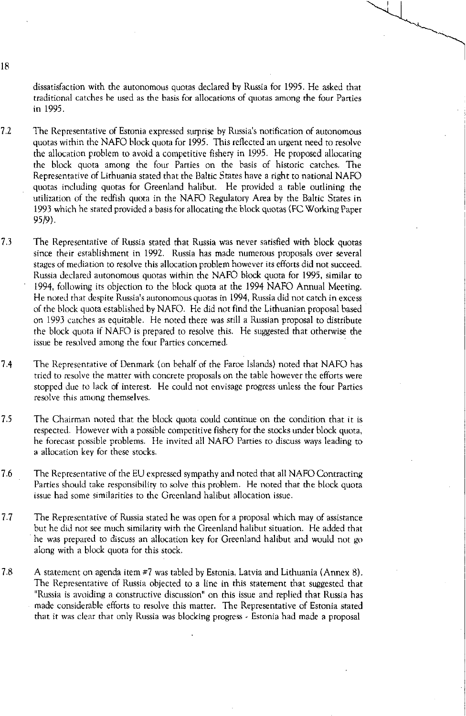dissatisfaction with the autonomous quotas declared by Russia for 1995. He asked that traditional catches be used as the basis for allocations of quotas among the four Parties in 1995.

- 7.2 The Representative of Estonia expressed surprise by Russia's notification of autonomous quotas within the NAFO block quota for 1995. This reflected an urgent need to resolve the allocation problem to avoid a competitive fishery in 1995. He proposed allocating the block quota among the four Parties on the basis of historic catches. The Representative of Lithuania stated that the Baltic States have a right to national NAFO quotas including quotas for Greenland halibut. He provided a table outlining the utilization of the redfish quota in the NAFO Regulatory Area by the Baltic States in 1993 which he stated provided a basis for allocating the block quotas (EC Working Paper 95/9).
- 7.3 The Representative of Russia stated that Russia was never satisfied with block quotas since their establishment in 1992. Russia has made numerous proposals over several stages of mediation to resolve this allocation problem however its efforts did not succeed. Russia declared autonomous quotas within the NAFO block quota for 1995, similar to 1994, following its objection to the block quota at the 1994 NAFO Annual Meeting. He noted that despite Russia's autonomous quotas in 1994, Russia did not catch in excess of the block quota established by NAFO. He did not find the Lithuanian proposal based on 1993 catches as equitable. He noted there was still a Russian proposal to distribute the block quota if NAFO is prepared to resolve this. He suggested that otherwise the issue be resolved among the four Parties concerned.
- 7.4 The Representative of Denmark (on behalf of the Faroe Islands) noted that NAFO has tried to resolve the matter with concrete proposals on the table however the efforts were stopped due to lack of interest. He could not envisage progress unless the four Parties resolve this among themselves.
- 7.5 The Chairman noted that the block quota could continue on the condition that it is respected. However with a possible competitive fishery for the stocks under block quota, he forecast possible problems. He invited all NAFO Parties to discuss ways leading to a allocation key for these stocks.
- 7.6 The Representative of the EU expressed sympathy and noted that all NAFO Contracting Parties should take responsibility to solve this problem. He noted that the block quota issue had some similarities to the Greenland halibut allocation issue.
- 7.7 The Representative of Russia stated he was open for a proposal which may of assistance but he did not see much similarity with the Greenland halibut situation. He added that he was prepared to discuss an allocation key for Greenland halibut and would not go along with a block quota for this stock.
- 7.8 A statement on agenda item #7 was tabled by Estonia, Latvia and Lithuania (Annex 8). The Representative of Russia objected to a line in this statement that suggested that "Russia is avoiding a constructive discussion" on this issue and replied that Russia has made considerable efforts to resolve this matter. The Representative of Estonia stated that it was clear that only Russia was blocking progress - Estonia had made a proposal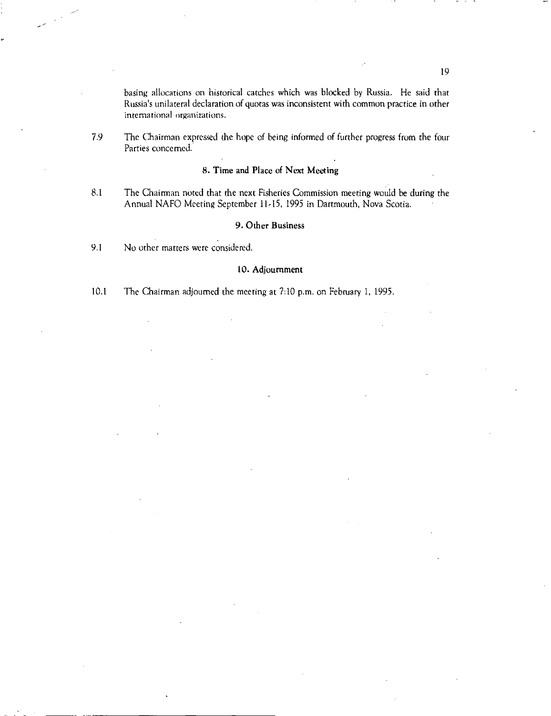basing allocations on historical catches which was blocked by Russia. He said that Russia's unilateral declaration of quotas was inconsistent with common practice in other international organizations.

7.9 The Chairman expressed the hope of being informed of further progress from the four Parties concerned.

# **8. Time and Place of Next Meeting**

8.1 The Chairman noted that the next Fisheries Commission meeting would be during the Annual NAFO Meeting September 11.15, 1995 in Dartmouth, Nova Scotia.

# **9. Other Business**

9.1 No other matters were considered.

### **10.Adjournment**

**10.1** The Chairman adjourned the meeting at 7:10 p.m. on February 1, 1995.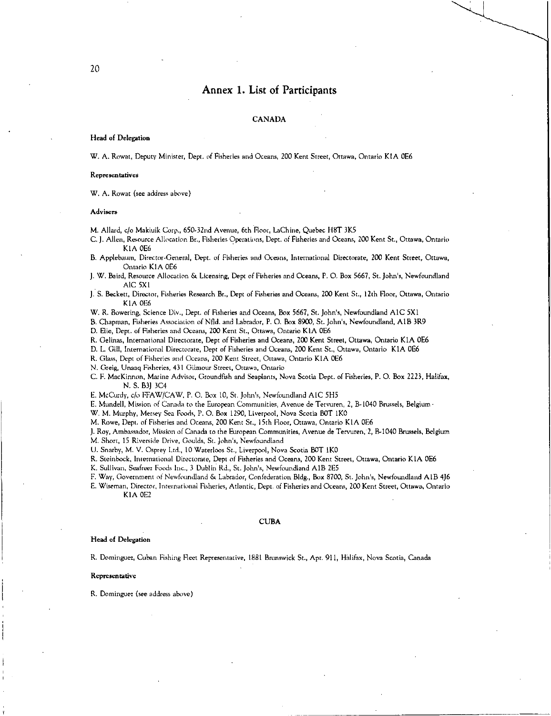# Annex 1. List of Participants

### CANADA

#### Head of Delegation

W. A. Rowat, Deputy Minister, Dept. of Fisheries and Oceans, 200 Kent Street, Ottawa, Ontario KIA 0E6

#### Representatives

W. A. Rowat (see address above)

#### Advisers

M. Allard, c/o Makiuik Corp., 650,32nd Avenue, 6th floor, LaChine, Quebec H8T 3K5

C. J. Allen, Resource Allocation Br., Fisheries Operations, Dept. of Fisheries and Oceans, 200 Kent St., Ottawa, Ontario K1A 0E6

B. Applebaum, Director.General, Dept. of Fisheries and Oceans, International Directorate, 200 Kent Street, Ottawa, Ontario KIA 0E6

J. W. Baird, Resource Allocation & Licensing, Dept of Fisheries and Oceans, P. 0. Box 5667, St. John's, Newfoundland AIC 5X1

J. S. Beckett, Director, Fisheries Research Br., Dept of Fisheries and Oceans, 200 Kent St., 12th Floor, Ottawa, Ontario KIA 0E6

W. R. Bowering, Science Div, Dept. of Fisheries and Oceans, Box 5667, St. John's, Newfoundland A1C 5X I

B. Chapman, Fisheries Association of Nfld. and Labrador, P. 0. Box 8900, St. John's, Newfoundland, AIR 3R9

D. Elie, Dept. of Fisheries and Oceans, 200 Kent St., Ottawa, Ontario KIA 0E6

R. Gelinas, International Directorate, Dept of Fisheries and Oceans, 200 Kent Street, Ottawa, Ontario KIA 0E6

D. L. Gill, International Directorate, Dept of Fisheries and Oceans, 200 Kent St., Ottawa, Ontario K1A 0E6

R. Glass, Dept of Fisheries and Oceans, 200 Kent Street, Ottawa, Ontario KIA 0E6

N. Craig, Unaaq Fisheries, 431 Gilmour Street, Ottawa, Ontario

C. F. MacKinnon, Marine Advisor, Groundfish and Seaplants, Nova Scotia Dept. of Fisheries, P. 0. Box 2223, Halifax, N. S. B3) 3C4

E. McCurdy, c/a FFAW/CAW, P. O. Box 10, St. John's, Newfoundland AIC 5H5

E. Mundell, Mission of Canada to the European Communities, Avenue de Tervuren, 2, B-1040 Brussels, Belgium

W. M. Murphy, Mersey Sea Foods, P. O. Box 1290, Liverpool, Nova Scotia BOT IKO

M. Rowe, Dept. of Fisheries and Oceans, 200 Kent St., 15th Floor, Ottawa, Ontario KIA 0E6

J. Roy, Ambassador, Mission of Canada to the European Communities, Avenue de Tervuren, 2, B-1040 Brussels, Belgium

M. Short, 15 Riverside Drive, Goulds, St. John's, Newfoundland

U. Snarby, M. V. Osprey I.td., 10 Waterloos St., Liverpool, Nova Scotia BOT 1KO

R. Steinbock, International Directorate, Dept *of* Fisheries and Oceans, 200 Kent Street, Ottawa, Ontario KIA 0E6

- K. Sullivan, Seafreez Foods Inc., 3 Dublin Rd., St. John's, Newfoundland A1B 2E5
- F. Way, Government *of* Newfoundland & Labrador, Confederation Bldg., Box 8700, St. John's, Newfoundland AIR 4J6

E. Wiseman, Director, International Fisheries, Atlantic, Dept. of Fisheries and Oceans, 200 Kent Street, Ottawa, Ontario KIA 0E2

#### CUBA

#### Head of Delegation

R. Dominguez, Cuban Fishing Fleet Representative, 1881 Brunswick St., Apt. 911, Halifax, Nova Scotia, Canada

#### Representative

R. Dominguez (see address above)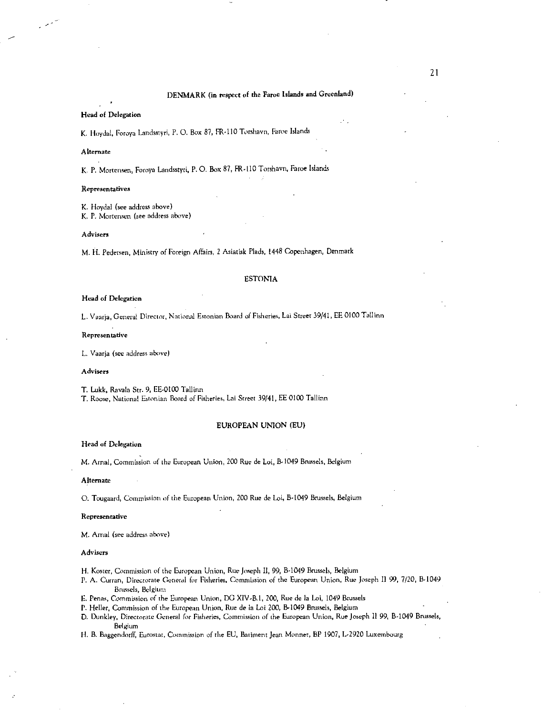#### Head of Delegation

K. Hoydal, Foroya Landsstyri, P. O. Box 87, FR-110 Torshavn, Faroe Islands

#### Alternate

بمعربه

K. P. Mortensen, Foroya Landsstyri, P. O. Box 87, ER-l10 Torshavn, Faroe Islands

#### Representatives

K. Hoydal (see address above) K. P. Mortensen (see address above)

#### Advisers

M. H. Pedersen, Ministry of Foreign Affairs, 2 Asiatisk Plads, 1448 Copenhagen, Denmark

#### ESTONIA

#### Head of Delegation

L. Vaarja, General Director, National Estonian Board of Fisheries, Lai Street 39/41, EE 0100 Tallinn

#### Representative

L. Vaarja (see address above)

#### Advisers

T. Lukk, Ravala Str. 9, EE.0l00 Tallinn

T. Roose, National Estonian Board of Fisheries, Lai Street 39/41, EE 0100 Tallinn

#### EUROPEAN UNION (EU)

#### Head of Delegation

M. Arnal, Commission of the European Union, 200 Rue de Loi, B.1049 Brussels, Belgium

#### Alternate

0. Tougaard, Commission of the European Union, 200 Rue de Loi, B-1049 Brussels, Belgium

#### Representative

M. Arnal (see address above)

#### Advisers

H. Koster, Commission of the European Union, Rue Joseph 11, 99, B-1049 Brussels, Belgium

- P. A. Curran, Directorate General for Fisheries, Commission of the European Union, Rue Joseph Il 99, 7/20, B-1049 Brussels, Belgium
- E. Penas, Commission of the European Union, DG XIV-B.1, ZOO, Rue de la Loi, 1049 Brussels

P. Heller, Commission of the European Union, Rue de la Loi 200, B-1049 Brussels, Belgium

D. Dunkley, Directorate General for Fisheries, Commission of the European Union, Rue Joseph II 99, B-1049 Brussels, Belgium

H. B. Baggendorff, Eurostat, Commission of the EU, Bailment Jean Monner, BP 1907, L.2920 Luxembourg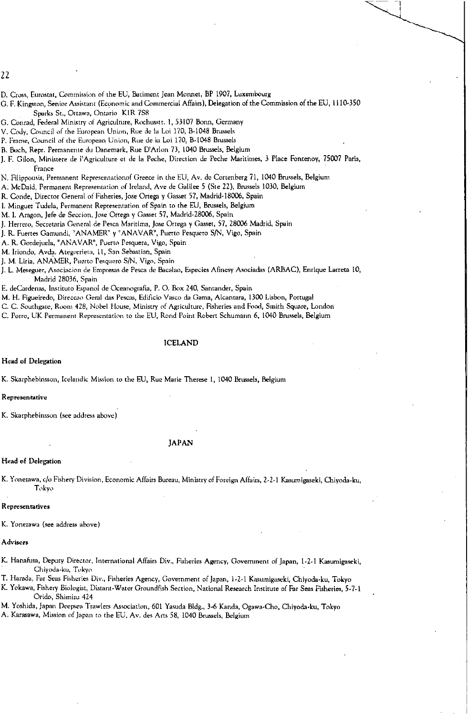22

- D. Cross, Eurostat, Commission of the EU, Batiment Jean Monnet, BP 1907, Luxembourg
- G. F. Kingston, Senior Assistant (Economic and Commercial Affairs), Delegation of the Commission of the EU, 1110-350 Sparks St., Ottawa, Ontario K1R 7S8
- G. Conrad, Federal Ministry of Agriculture, Rochusstr. 1, 53107 Bonn, Germany
- V. Cody, Council *of* the European Union, Rue de la Loi 170, B-1048 Brussels
- P. Frame, Council of the European Union, Rue de la Loi 170, B-1048 Brussels
- B. Bach, Repr. Permanente du Danemark, Rue D'Arlon 73, 1040 Brussels, Belgium
- J. F. Gilon, Ministere de l'Agriculture et de la Peche, Direction de Peche Maritimes, 3 Place Fontenoy, 75007 Paris, France
- N. Filippousis, Permanent Representationof Greece in the EU, Av. de Cortenberg 71, 1040 Brussels, Belgium
- A. McDaid, Permanent Representation of Ireland, Ave de Galilee 5 (Ste 22), Brussels 1030, Belgium
- R. Conde, Director General of Fisheries, Jose Ortega y Gasset 57, Madrid-18006, Spain
- I. Minguez Tudela, Permanent Representation of Spain to the EU, Brussels, Belgium
- M. I. Aragon, Jefe de Seccion, Jose Ortega y Gasset 57, Madrid-28006, Spain
- J. Herrero, Secretaria General de Pesca Maritima, Jose Ortega y Gasset, 57, 28006 Madrid, Spain
- J. R. Fuertes Gamundi, "ANAMER" y "ANAVAR", Puerto Pesquero S/N, Vigo, Spain
- A. R. Gordejuela, "ANAVAR", Puerto Pesquera, Vigo, Spain
- M. Iriondo, Avda. Ategarrieta, II, San Sebastian, Spain
- J. M. Liria, ANAMER, Puerto Pesquero S/N, Vigo, Spain
- J. L. Meseguer, Asociacion de Empresas de Pesca de Bacalao, Especies Afinesy Asociadas (ARBAC), Enrique Larreta 10, Madrid 28036, Spain
- E. deCardenas, Institute Espanol de Oceanografta, P. 0. Box 240, Santander, Spain
- M. H. Figueiredo, Direccao Geral das Pescas, Edificio Vasco da Gama, Alcantara, 1300 Lisbon, Portugal
- C. C. Southgate, Room 428, Nobel House, Ministry of Agriculture, Fisheries and Food, Smith Square, London
- C. Porro, UK Permanent Representation to the EU, Rond Point Robert Schumann 6, 1040 Brussels, Belgium

ICELAND

Head of Delegation

K. Skarphebinsson, Icelandic Mission to the EU, Rue Marie Therese 1, 1040 Brussels, Belgium

#### Representative

K. Skarphebinsson (see address above)

#### JAPAN

#### Head of Delegation

K. Yonezawa, c/o Fishery Division, Economic Affairs Bureau, Ministry of Foreign Affairs, 2-2-1 Kasumigaseki, Chiyoda-ku, Tokyo

#### Representatives

K. Yonezawa (see address above)

#### Advisers

- K. lianabsa, Deputy Director, International Affairs Div., Fisheries Agency, Government of Japan, l-2-1 Kasumigaseki, Chiyoda-ku, Tokyo
- T. Harada, Far Seas Fisheries Div., Fisheries Agency, Government of Japan, 1-2-1 Kasumigaseki, Chiyoda-ku, Tokyo
- K. Yokawa, Fishery Biologist, Distant-Water Groundfish Section, National Research Institute of Far Seas Fisheries, 5-7-1 Orido, Shimizu 424
- M. Yoshida, Japan Deepeea Trawlers Association, 601 Yasuda Bldg., 3.6 Kanda, Ogawa ,Cho, Chiyoda ,ku, Tokyo
- A. Karasawa, Mission of Japan to the EU, Av. des Arts 58, 1040 Brussels, Belgium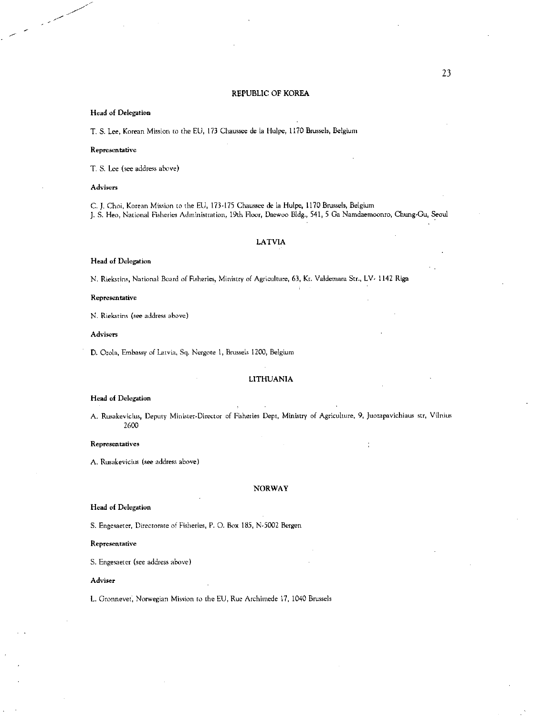#### **REPUBLIC OF KOREA**

#### **Head of Delegation**

**T. S.** Lee, Korean Mission to the EU, 173 Chaussee de la Hulpe, 1170 Brussels, Belgium

#### **Representative**

**T. S. Lee** (see address above)

#### **Advisers**

C. J. Choi, Korean Mission to the EU, 173-175 Chaussee de la Hulpe, 1170 Brussels, Belgium J. S. Heo, National Fisheries Administration, 19th Floor, Daewoo Bldg., 541, 5 Ga Namdaemoonro, Chung-Cu, Seoul

### **LATVIA**

# **Head of Delegation**

N. Riekstins, National Board of Fisheries, Ministry of Agriculture, 63, Kr. Valdemara Str., LV. 1142 Riga

#### **Representative**

N. Riekstins (see address above)

#### **Advisers**

D. Ozola, Embassy of Latvia, Sq. Nergote 1, Brussels 1200, Belgium

#### **LITHUANIA**

#### **Head of Delegation**

**A.** Rusakevicius, Deputy Minister-Director of Fisheries Dept, Ministry of Agriculture, 9, Juozapavichiaus str, Vilnius 2600

**•** 

#### **Representatives**

**A.** Rusakevicius (see address above)

#### **NORWAY**

# **Head of Delegation**

S. Engesaeter, Directorate of Fisheries, P. 0. Box 185, N-5002 Bergen

#### **Representative**

S. Engesaeter (see address above)

#### **Adviser**

**L.** Gronnevet, Norwegian Mission to the EU, Rue Archimede 17, 1040 Brussels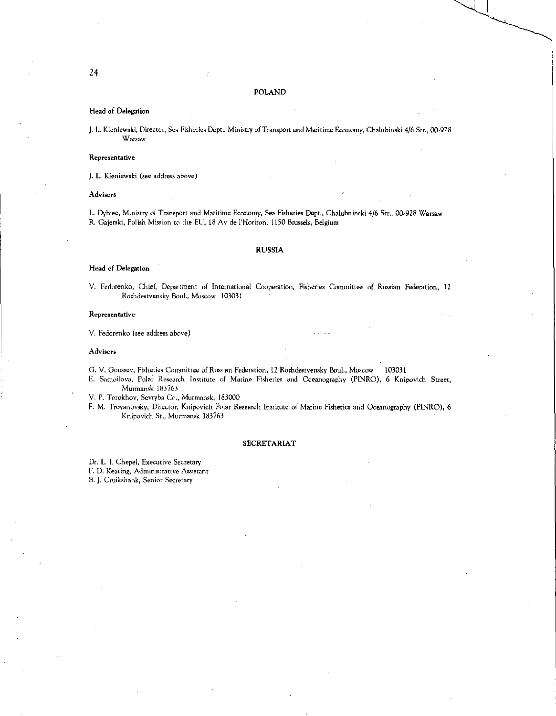#### POLAND

#### Head of Delegation

J. L. Kleniewski, Director, Sea Fisheries Dept, Ministry of Transport and Maritime Economy, Chalubinski 4/6 Str., 00-928 Warsaw

#### Representative

J. L. Kleniewski (see address above)

Advisers

L. Dybiec, Ministry of Transport and Maritime Economy, Sea Fisheries Dept., Chalubninski 4/6 Str., 00-928 Warsaw R. Gajerski, Polish Mission to the EU, 18 Av de l'Horizon, 1150 Brussels, Belgium

### RUSSIA

#### Head of Delegation

V. Fedorenko, Chief, Department of International Cooperation, Fisheries Committee of Russian Federation, 12 Rozhdestvensky Boul., Moscow 103031

#### Representative

V. Fedorenko (see address above)

#### Advisers

C. V. Goussev, Fisheries Committee of Russian Federation, 12 Rozhdestvensky Boul., Moscow 103031

E. Samoilova, Polar Research Institute of Marine Fisheries and Oceanography (PINRO), 6 Knipovich Street, Murmansk 183763

V. P. Torokhov, Sevryba Co., Murmansk, 183000

F. M. Troyanovsky, Director, Knipovich Polar Research Institute of Marine Fisheries and Oceanography (PINRO), 6 Knipovich St., Murmansk 183763

#### SECRETARIAT

Dr. L. I. Chepel, Executive Secretary F. D. Keating, Administrative Assistant

B. J. Cruikshank, Senior Secretary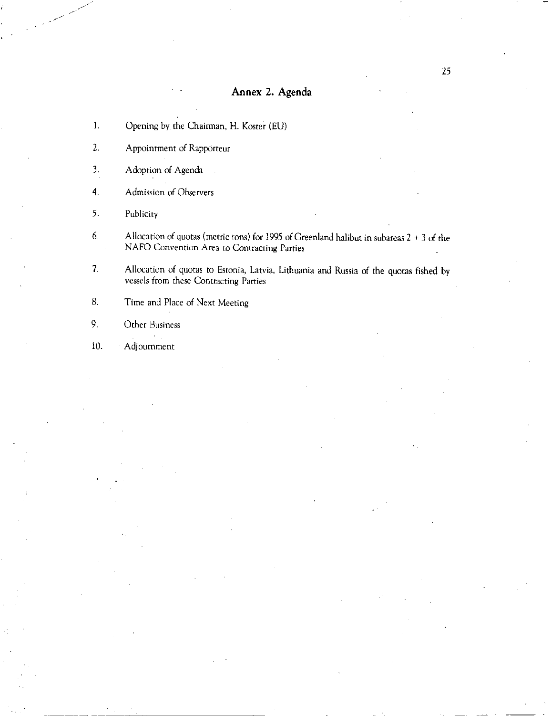# Annex 2. Agenda

- 1. Opening by. the Chairman, H. Koster (EU)
- 2. Appointment of Rapporteur
- 3. Adoption of Agenda
- 4. Admission of Observers
- 5. Publicity
- 6. Allocation of quotas (metric tons) for 1995 of Greenland halibut in subareas 2 + 3 of the NAFO Convention Area to Contracting Parties
- 7. Allocation of quotas to Estonia, Latvia, Lithuania and Russia of the quotas fished by vessels from these Contracting Parties

8. Time and Place of Next Meeting

9. Other Business

 $\sim$ 

10. Adjournment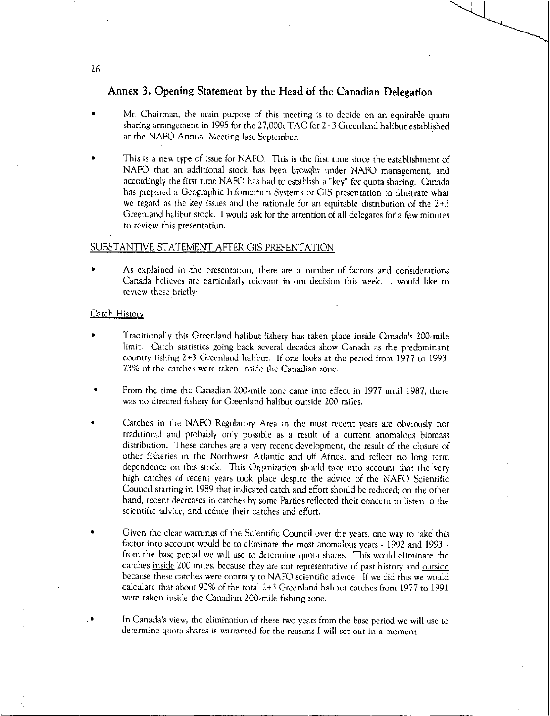# Annex 3. Opening Statement by the Head of the Canadian Delegation

- Mr. Chairman, the main purpose of this meeting is to decide on an equitable quota sharing arrangement in 1995 for the 27,000t TAC for 2+3 Greenland halibut established at the NAFO Annual Meeting last September.
- This is a new type of issue for NAFO. This is the first time since the establishment of NAFO that an additional stock has been brought under NAFO management, and accordingly the first time NAFO has had to establish a "key" for quota sharing. Canada has prepared a Geographic Information Systems or GIS presentation to illustrate what we regard as the key issues and the rationale for an equitable distribution of the 2+3 Greenland halibut stock. I would ask for the attention of all delegates for a few minutes to *review* this presentation.

### SUBSTANTIVE STATEMENT AFTER GIS PRESENTATION

• As explained in the presentation, there are a number of factors and considerations Canada believes are particularly relevant in our decision this week. I would like to review these briefly:

# Catch History

- Traditionally this Greenland halibut fishery has taken place inside Canada's 200-mile limit. Catch statistics going back several decades show Canada as the predominant country fishing 2+3 Greenland halibut. If one looks at the period from 1977 to 1993, 73% of the catches were taken inside the Canadian zone.
- From the time the Canadian 200-mile zone came into effect in 1977 until 1987, there was no directed fishery for Greenland halibut outside 200 miles.
- Catches in the NAFO Regulatory Area in the most recent years are obviously not traditional and probably only possible as a result of a current anomalous biomass distribution. These catches are a very recent development, the result of the closure of other fisheries in the Northwest Atlantic and off Africa, and reflect no long term dependence on this stock. This Organization should take into account that the very high catches of recent years took place despite the advice of the NAFO Scientific Council starting in 1989 that indicated catch and effort should be reduced; on the other hand, recent decreases in catches by some Parties reflected their concern to listen to the scientific advice, and reduce their catches and effort.
- Given the clear warnings of the Scientific Council over the years, one way to take this factor into account would be to eliminate the most anomalous years - 1992 and 1993 from the base period we will use to determine quota shares. This would eliminate the catches inside 200 miles, because they are not representative of past history and outside because these catches were contrary to NAFO scientific advice. If we did this we would calculate that about 90% of the total 2+3 Greenland halibut catches from 1977 to 1991 were taken inside the Canadian 200-mile fishing zone.
	- In Canada's view, the elimination of these two years from the base period we will use to determine quota shares is warranted for the reasons I will set out in a moment.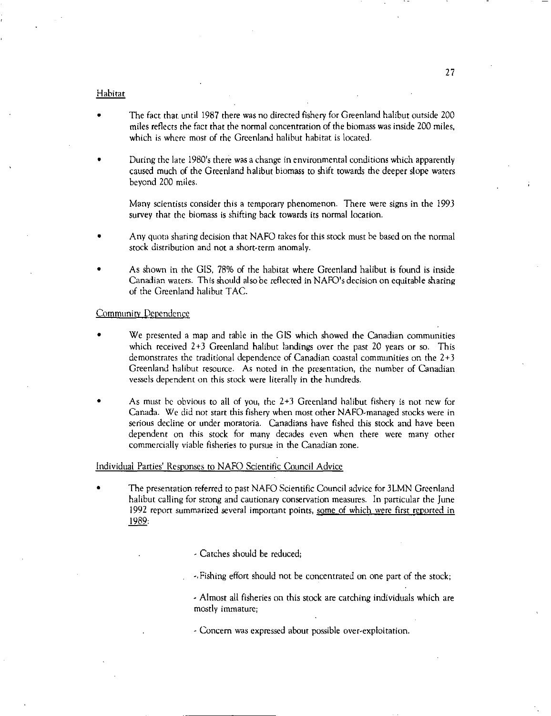### Habitat

- The fact that until 1987 there was no directed fishery for Greenland halibut outside 200 miles reflects the fact that the normal concentration of the biomass was inside 200 miles, which is where most of the Greenland halibut habitat is located.
- During the late 1980's there was a change in environmental conditions which apparently caused much of the Greenland halibut biomass to shift towards the deeper slope waters beyond 200 miles.

Many scientists consider this a temporary phenomenon. There were signs in the 1993 survey that the biomass is shifting back towards its normal location.

- Any quota sharing decision that NAFO takes for this stock must be based on the normal stock distribution and not a short-term anomaly.
- As shown in the GIS, 78% of the habitat where Greenland halibut is found is inside Canadian waters. This should also be reflected in NAFO's decision on equitable sharing of the Greenland halibut TAC.

# **Community Dependence**

- We presented a map and table in the GIS which showed the Canadian communities which received 2+3 Greenland halibut landings over the past 20 years or so. This demonstrates the traditional dependence of Canadian coastal communities on the 2+3 Greenland halibut resource. As noted in the presentation, the number of Canadian vessels dependent on this stock were literally in the hundreds.
- As must be obvious to all of you, the  $2+3$  Greenland halibut fishery is not new for Canada. We did not start this fishery when most other NAFO-managed stocks were in serious decline or under moratoria. Canadians have fished this stock and have been dependent on this stock for many decades even when there were many other commercially viable fisheries to pursue in the Canadian zone.

### Individual Parties' Responses to NAFO Scientific Council Advice

The presentation referred to past NAFO Scientific Council advice for 3LMN Greenland halibut calling for strong and cautionary conservation measures. In particular the June 1992 report summarized several important points, some of which were first reported in 1989:

- Catches should be reduced;

-,Fishing effort should not be concentrated on one part of the stock;

- Almost all fisheries on this stock are catching individuals which are mostly immature;

- Concern was expressed about possible over-exploitation.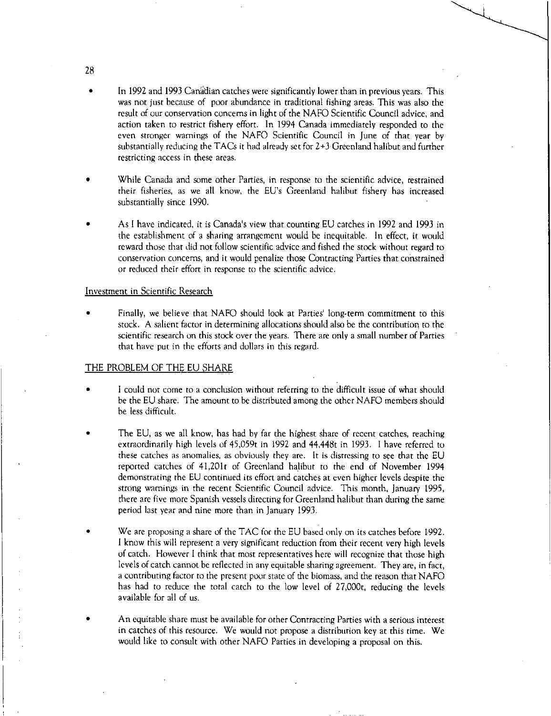- In 1992 and 1993 Canadian catches were significantly lower than in previous years. This was not just because of poor abundance in traditional fishing areas. This was also the result of our conservation concerns in light of the NAFO Scientific Council advice, and action taken to restrict fishery effort. In 1994 Canada immediately responded to the even stronger warnings of the NAFO Scientific Council in June of that year by substantially reducing the TACs it had already set for 2+3 Greenland halibut and further restricting access in these areas.
- While Canada and some other Parties, in response to the scientific advice, restrained their fisheries, as we all know, the EU's Greenland halibut fishery has increased substantially since 1990.
- As I have indicated, it is Canada's view that counting EU catches in 1992 and 1993 in the establishment of a sharing arrangement would be inequitable. In effect, it would reward those that did not follow scientific advice and fished the stock without regard to conservation concerns, and it would penalize those Contracting Parties that constrained or reduced their effort in response to the scientific advice.

### Investment in Scientific Research

• Finally, we believe that NAFO should look at Parties' long-term commitment to this stock. A salient factor in determining allocations should also be the contribution to the scientific research on this stock over the years. There are only a small number of Parties that have put in the efforts and dollars in this regard.

### THE PROBLEM OF THE EU SHARE

- I could not come to a conclusion without referring to the difficult issue of what should be the EU share. The amount to be distributed among the other NAFO members should be less difficult.
- The EU, as we all know, has had by far the highest share of recent catches, reaching extraordinarily high levels of 45,059t in 1992 and 44,448t in 1993. I have referred to these catches as anomalies, as obviously they are. It is distressing to see that the EU reported catches of 41,201t of Greenland halibut to the end of November 1994 demonstrating the EU continued its effort and catches at even higher levels despite the strong warnings in the recent Scientific Council advice. This month, January 1995, there are five more Spanish vessels directing for Greenland halibut than during the same period last year and nine more than in January 1993.
- We are proposing a share of the TAC for the EU based only on its catches before 1992. I know this will represent a very significant reduction from their recent very high levels of catch. However I think that most representatives here will recognize that those high levels of catch cannot be reflected in any equitable sharing agreement. They are, in fact, a contributing factor to the present poor state of the biomass, and the reason that NAFO has had to reduce the total catch to the low level of 27,000t, reducing the levels available for all of us.
- An equitable share must be available for other Contracting Parties with a serious interest in catches of this resource. We would not propose a distribution key at this time. We would like to consult with other NAFO Parties in developing a proposal on this.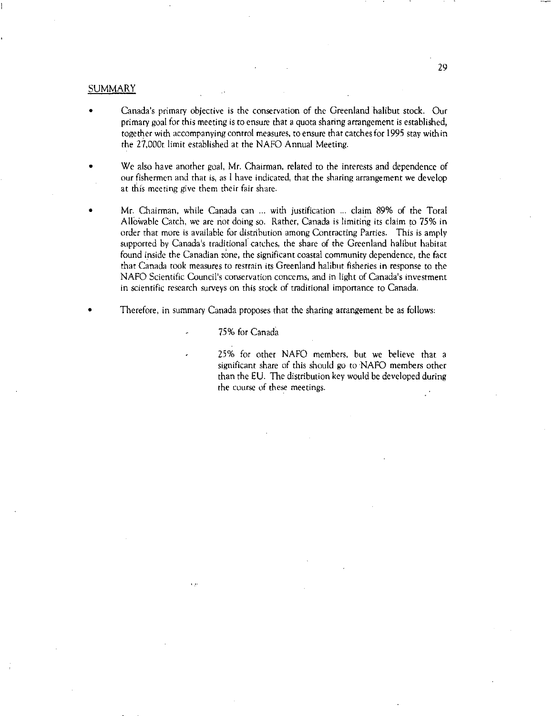### **SUMMARY**

- Canada's primary objective is the conservation of the Greenland halibut stock. Our primary goal for this meeting is to ensure that a quota sharing arrangement is established, together with accompanying control measures, to ensure that catches for 1995 stay within the 27,000t limit established at the NAFO Annual Meeting.
- We also have another goal, Mr. Chairman, related to the interests and dependence of our fishermen and that is, as I have indicated, that the sharing arrangement we develop at this meeting give them their fair share.
- Mr. Chairman, while Canada can ... with justification ... claim 89% of the Total Allowable Catch, we are not doing so. Rather, Canada is limiting its claim to 75% in order that more is available for distribution among Contracting Parties. This is amply supported by Canada's traditional catches, the share of the Greenland halibut habitat found inside the Canadian zone, the significant coastal community dependence, the fact that Canada took measures to restrain its Greenland halibut fisheries in response to the NAFO Scientific Council's conservation concerns, and in light of Canada's investment in scientific research surveys on this stock of traditional importance to Canada.
- Therefore, in summary Canada proposes that the sharing arrangement be as follows:
	- 75% for Canada

ووالم

25% for other NAFO members, but we believe that a significant share of this should go to NAFO members other than the EU. The distribution key would be developed during the course of these meetings.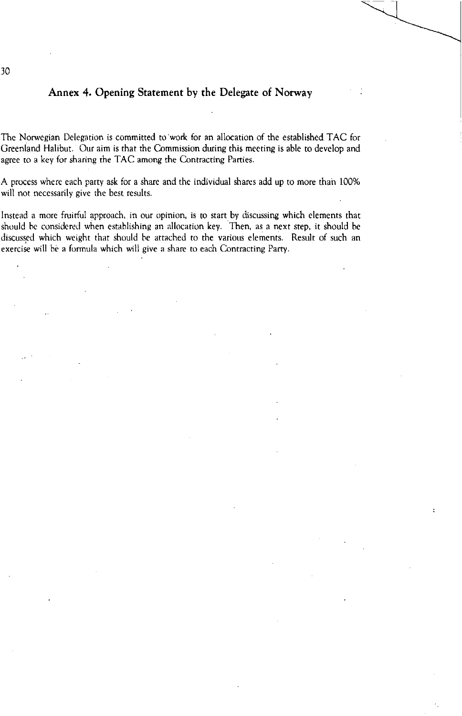# Annex 4. Opening Statement by the Delegate of Norway

The Norwegian Delegation is committed to work for an allocation of the established TAC for Greenland Halibut. Our aim is that the Commission during this meeting is able to develop and agree to a key for sharing the TAC among the Contracting Parties.

A process where each party ask for a share and the individual shares add up to more than 100% will not necessarily give the best results.

Instead a more fruitful approach, in our opinion, is to start by discussing which elements that should be considered when establishing an allocation key. Then, as a next step, it should be discussed which weight that should be attached to the various elements. Result of such an exercise will he a formula which will give a share to each Contracting Parry .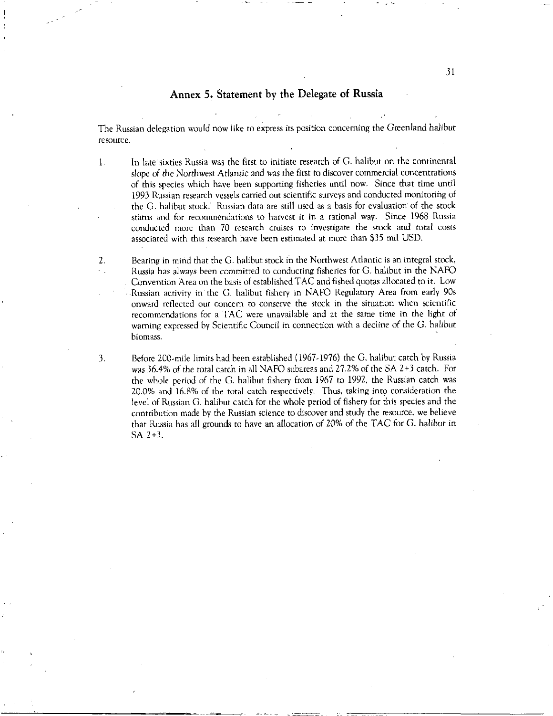# Annex 5. Statement by the Delegate of Russia

The Russian delegation would now like to express its position concerning the Greenland halibut resource.

In late' sixties Russia was the first to initiate research of G. halibut on the continental 1. slope *of the* Northwest Atlantic and was the first to discover commercial concentrations of this species which have been supporting fisheries until now. Since that time until 1993 Russian research vessels carried out scientific surveys and conducted monitoring of the G. halibut stock: Russian data are still used as a basis for evaluation of the stock status and for recommendations to harvest it in a rational way. Since 1968 Russia conducted more than 70 research cruises to investigate the stock and total costs associated with this research have been estimated at more than \$35 mil USD.

2. Bearing in mind that the G. halibut stock in the Northwest Atlantic is an integral stock, Russia has always been committed to conducting fisheries for G. halibut in the NAFO Convention Area on the basis of established TAC and fished quotas allocated to it. Low Russian activity in the G. halibut fishery in NAFO Regulatory Area from early 90s onward reflected our concern to conserve the stock in the situation when scientific recommendations for a TAC were unavailable and at the same time in the light of warning expressed by Scientific Council in connection with a decline of the G. halibut biomass.

3. Before 200-mile limits had been established (1967-1976) the G. halibut catch by Russia was 36.4% *of* the total catch in all NAFO subareas and 27.2% of the SA 2+3 catch. For the whole period of the G. halibut fishery from 1967 to 1992, the Russian catch was 20.0% and 16.8% of the total catch respectively. Thus, taking into consideration the level of Russian G. halibut catch for the whole period of fishery for this species and the contribution made by the Russian science to discover and study the resource, we believe that Russia has all grounds to have an allocation of 20% of the TAC for G. halibut in SA 2+3.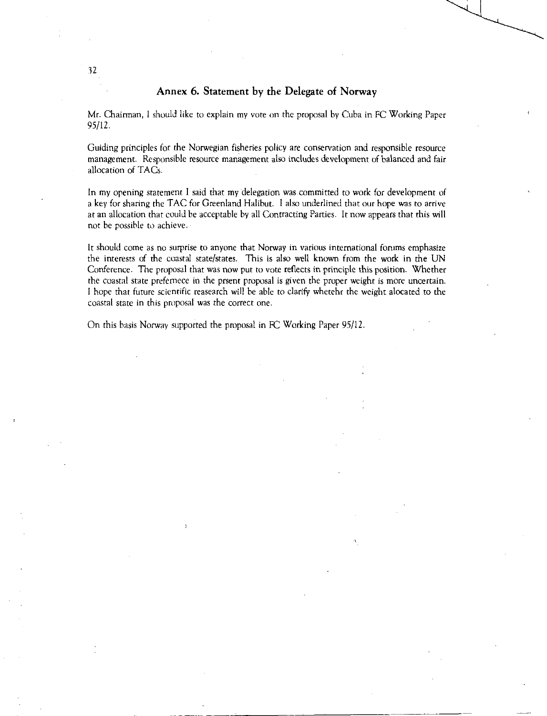# Annex 6. Statement by the Delegate of Norway

Mr. Chairman, I should like to explain my vote on the proposal by Cuba in FC Working Paper 95/12.

Guiding principles for the Norwegian fisheries policy are conservation and responsible resource management. Responsible resource management also includes development of balanced and fair allocation of TACs.

In my opening statement I said that my delegation was committed to work for development of a key for sharing the TAC for Greenland Halibut. I also underlined that our hope was to arrive at an allocation that could be acceptable by all Contracting Parties. It now appears that this will not be possible to achieve.

It should come as no surprise to anyone that Norway in various international forums emphasize the interests of the coastal state/states. This is also well known from the work in the UN Conference. The proposal that was now put to vote reflects in principle this position. Whether the coastal state prefemece in the prsent proposal is given the proper weight is more uncertain. I hope that future scientific reasearch will be able to clarify whetehr the weight alocated to the coastal state in this proposal was the correct one.

On this basis Norway supported the proposal in FC Working Paper 95/12.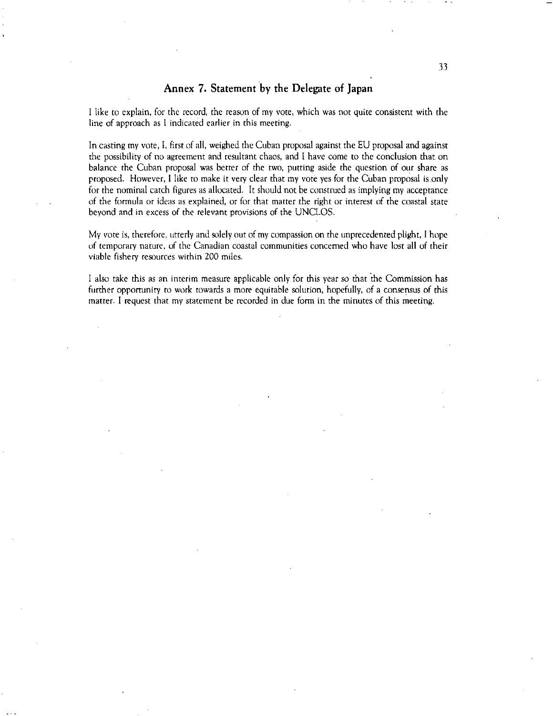# Annex 7. Statement by the Delegate of Japan

I like to explain, for the record, the reason of my vote, which was not quite consistent with the line of approach as I indicated earlier in this meeting.

In casting my vote, I, first of all, weighed the Cuban proposal against the EU proposal and against the possibility of no agreement and resultant chaos, and I have come to the conclusion that on balance the Cuban proposal was better of the two, putting aside the question of our share as proposed. However, I like to make it very clear that my vote yes for the Cuban proposal is only for the nominal catch figures as allocated. It should not be construed as implying my acceptance of the formula or ideas as explained, or for that matter the right or interest of the coastal state beyond and in excess of the relevant provisions of the UNCLOS.

My vote is, therefore, utterly and solely out of my compassion on the unprecedented plight, I hope of temporary nature, of the Canadian coastal communities concerned who have lost all of their viable fishery resources within 200 miles.

I also take this as an interim measure applicable only for this year so that the Commission has further opportunity to work towards a more equitable solution, hopefully, of a consensus of this matter. I request that my statement be recorded in due form in the minutes of this meeting.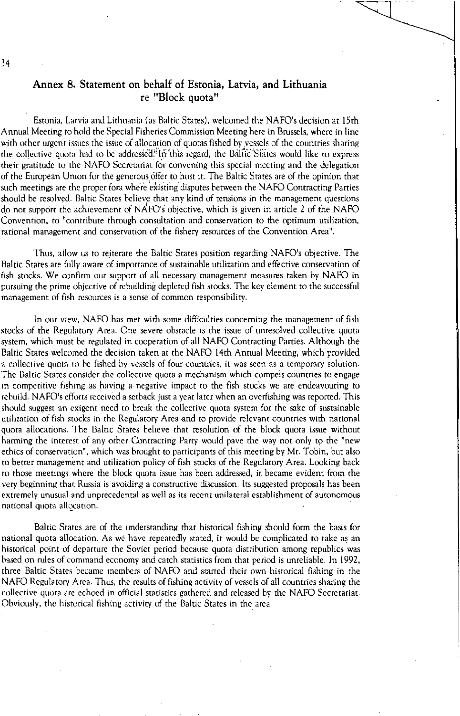# Annex 8. Statement on behalf of Estonia, Latvia, and Lithuania re "Block quota"

Estonia, Latvia and Lithuania (as Baltic States), welcomed the NAFO's decision at 15th Annual Meeting to hold the Special Fisheries Commission Meeting here in Brussels, where in line with other urgent issues the issue of allocation of quotas fished by vessels of the countries sharing the collective quota had to be addressed. In this regard, the Baltic States would like to express their gratitude to the NAFO Secretariat for convening this special meeting and the delegation of the European Union for the generous offer to host it. The Baltic States are of the opinion that such meetings are the proper fora where existing disputes between the NAFO Contracting Parties should be resolved. Baltic States believe that any kind of tensions in the management questions do not support the achievement of  $NAFO's$  objective, which is given in article 2 of the NAFO Convention, to "contribute through consultation and conservation to the optimum utilization, rational management and conservation of the fishery resources of the Convention Area".

Thus, allow us to reiterate the Baltic States position regarding NAFO's objective. The Baltic States are fully aware of importance of sustainable utilization and effective conservation of fish stocks. We confirm our support of all necessary management measures taken by NAFO in pursuing the prime objective of rebuilding depleted fish stocks. The key element to the successful management of fish resources is a sense of common responsibility.

In our view, NAFO has met with some difficulties concerning the management of fish stocks of the Regulatory Area. One severe obstacle is the issue of unresolved collective quota system, which must he regulated in cooperation of all NAFO Contracting Parties. Although the Baltic States welcomed the decision taken at the NAFO 14th Annual Meeting, which provided a collective quota to he fished by vessels of four countries, it was seen as a temporary solution. The Baltic States consider the collective quota a mechanism which compels countries to engage in competitive fishing as having a negative impact to the fish stocks we are endeavouring to rebuild. NAFO's efforts received a setback just a year later when an overfishing was reported. This should suggest an exigent need to break the collective quota system for the sake of sustainable utilization of fish stocks in the Regulatory Area and to provide relevant countries with national quota allocations. The Baltic States believe that resolution of the block quota issue without harming the interest of any other Contracting Party would pave the way not only to the "new ethics of conservation", which was brought to participants of this meeting by Mr. Tobin, but also to better management and utilization policy of fish stocks of the Regulatory Area. Looking back to those meetings where the block quota issue has been addressed, it became evident from the very beginning that Russia is avoiding a constructive discussion. Its suggested proposals has been extremely unusual and unprecedental as well as its recent unilateral establishment of autonomous national quota allocation.

Baltic States are of the understanding that historical fishing should form the basis for national quota allocation. As we have repeatedly stated, it would be complicated to take as an historical point of departure the Soviet period because quota distribution among republics was based on rules of command economy and catch statistics from that period is unreliable. In 1992, three Baltic States became members of NAFO and started their own historical fishing in the NAFO Regulatory Area. Thus, the results of fishing activity of vessels of all countries sharing the collective quota are echoed in official statistics gathered and released by the NAFO Secretariat. Obviously, the historical fishing activity of the Baltic States in the area